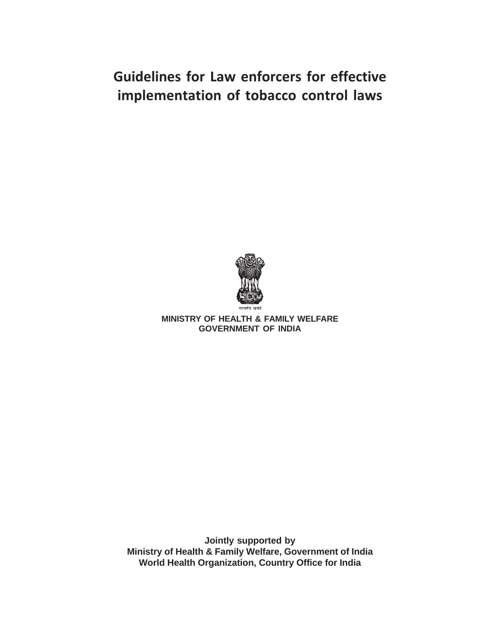## Guidelines for Law enforcers for effective implementation of tobacco control laws



**MINISTRY OF HEALTH & FAMILY WELFARE GOVERNMENT OF INDIA**

**Jointly supported by Ministry of Health & Family Welfare, Government of India World Health Organization, Country Office for India**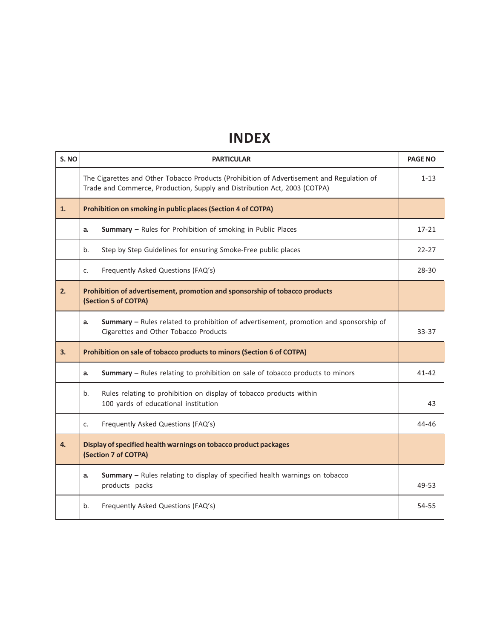## INDEX

| S. NO | <b>PARTICULAR</b>                                                                                                                                                      |           |  |
|-------|------------------------------------------------------------------------------------------------------------------------------------------------------------------------|-----------|--|
|       | The Cigarettes and Other Tobacco Products (Prohibition of Advertisement and Regulation of<br>Trade and Commerce, Production, Supply and Distribution Act, 2003 (COTPA) | $1 - 13$  |  |
| 1.    | Prohibition on smoking in public places (Section 4 of COTPA)                                                                                                           |           |  |
|       | Summary - Rules for Prohibition of smoking in Public Places<br>a.                                                                                                      | $17 - 21$ |  |
|       | Step by Step Guidelines for ensuring Smoke-Free public places<br>b.                                                                                                    | $22 - 27$ |  |
|       | Frequently Asked Questions (FAQ's)<br>c.                                                                                                                               | 28-30     |  |
| 2.    | Prohibition of advertisement, promotion and sponsorship of tobacco products<br>(Section 5 of COTPA)                                                                    |           |  |
|       | Summary - Rules related to prohibition of advertisement, promotion and sponsorship of<br>a.<br>Cigarettes and Other Tobacco Products                                   | 33-37     |  |
| 3.    | Prohibition on sale of tobacco products to minors (Section 6 of COTPA)                                                                                                 |           |  |
|       | Summary - Rules relating to prohibition on sale of tobacco products to minors<br>a.                                                                                    | 41-42     |  |
|       | Rules relating to prohibition on display of tobacco products within<br>b.<br>100 yards of educational institution                                                      | 43        |  |
|       | Frequently Asked Questions (FAQ's)<br>c.                                                                                                                               | 44-46     |  |
| 4.    | Display of specified health warnings on tobacco product packages<br>(Section 7 of COTPA)                                                                               |           |  |
|       | Summary - Rules relating to display of specified health warnings on tobacco<br>a.<br>products packs                                                                    | 49-53     |  |
|       | Frequently Asked Questions (FAQ's)<br>b.                                                                                                                               | 54-55     |  |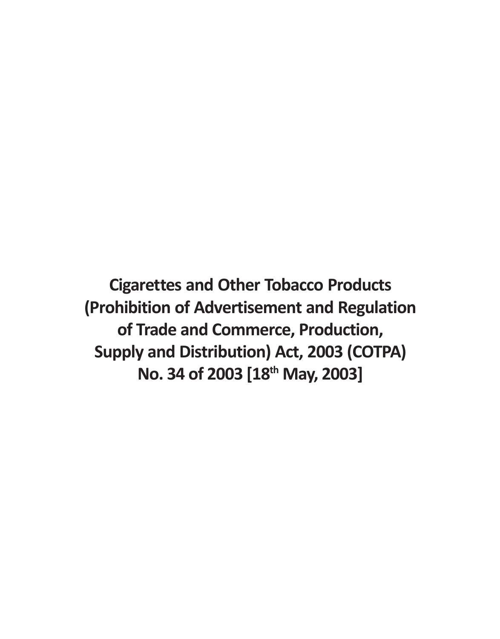Cigarettes and Other Tobacco Products (Prohibition of Advertisement and Regulation of Trade and Commerce, Production, Supply and Distribution) Act, 2003 (COTPA) No. 34 of 2003 [18<sup>th</sup> May, 2003]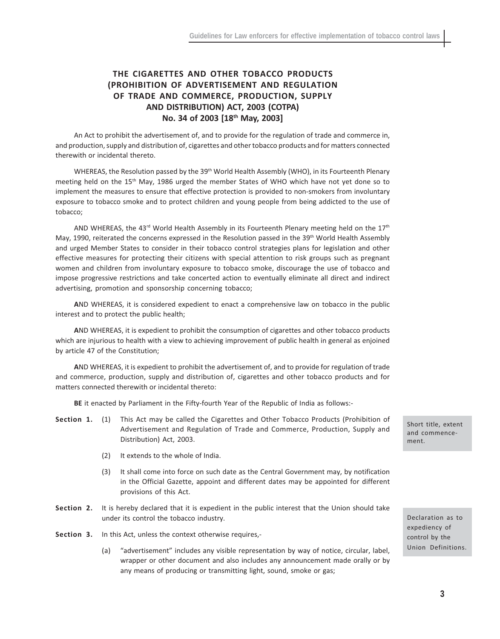## THE CIGARETTES AND OTHER TOBACCO PRODUCTS (PROHIBITION OF ADVERTISEMENT AND REGULATION OF TRADE AND COMMERCE, PRODUCTION, SUPPLY AND DISTRIBUTION) ACT, 2003 (COTPA) No. 34 of 2003 [18th May, 2003]

An Act to prohibit the advertisement of, and to provide for the regulation of trade and commerce in, and production, supply and distribution of, cigarettes and other tobacco products and for matters connected therewith or incidental thereto.

WHEREAS, the Resolution passed by the 39<sup>th</sup> World Health Assembly (WHO), in its Fourteenth Plenary meeting held on the 15th May, 1986 urged the member States of WHO which have not yet done so to implement the measures to ensure that effective protection is provided to non-smokers from involuntary exposure to tobacco smoke and to protect children and young people from being addicted to the use of tobacco;

AND WHEREAS, the 43rd World Health Assembly in its Fourteenth Plenary meeting held on the  $17<sup>th</sup>$ May, 1990, reiterated the concerns expressed in the Resolution passed in the 39th World Health Assembly and urged Member States to consider in their tobacco control strategies plans for legislation and other effective measures for protecting their citizens with special attention to risk groups such as pregnant women and children from involuntary exposure to tobacco smoke, discourage the use of tobacco and impose progressive restrictions and take concerted action to eventually eliminate all direct and indirect advertising, promotion and sponsorship concerning tobacco;

AND WHEREAS, it is considered expedient to enact a comprehensive law on tobacco in the public interest and to protect the public health;

AND WHEREAS, it is expedient to prohibit the consumption of cigarettes and other tobacco products which are injurious to health with a view to achieving improvement of public health in general as enjoined by article 47 of the Constitution;

AND WHEREAS, it is expedient to prohibit the advertisement of, and to provide for regulation of trade and commerce, production, supply and distribution of, cigarettes and other tobacco products and for matters connected therewith or incidental thereto:

BE it enacted by Parliament in the Fifty-fourth Year of the Republic of India as follows:-

- Section 1. (1) This Act may be called the Cigarettes and Other Tobacco Products (Prohibition of Advertisement and Regulation of Trade and Commerce, Production, Supply and Distribution) Act, 2003.
	- (2) It extends to the whole of India.
	- (3) It shall come into force on such date as the Central Government may, by notification in the Official Gazette, appoint and different dates may be appointed for different provisions of this Act.
- Section 2. It is hereby declared that it is expedient in the public interest that the Union should take under its control the tobacco industry.
- Section 3. In this Act, unless the context otherwise requires,-
	- (a) "advertisement" includes any visible representation by way of notice, circular, label, wrapper or other document and also includes any announcement made orally or by any means of producing or transmitting light, sound, smoke or gas;

Short title, extent and commencement.

Declaration as to expediency of control by the Union Definitions.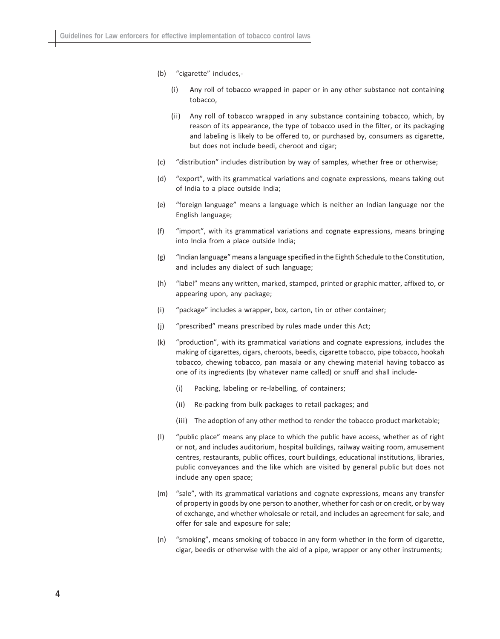- (b) "cigarette" includes,-
	- (i) Any roll of tobacco wrapped in paper or in any other substance not containing tobacco,
	- (ii) Any roll of tobacco wrapped in any substance containing tobacco, which, by reason of its appearance, the type of tobacco used in the filter, or its packaging and labeling is likely to be offered to, or purchased by, consumers as cigarette, but does not include beedi, cheroot and cigar;
- (c) "distribution" includes distribution by way of samples, whether free or otherwise;
- (d) "export", with its grammatical variations and cognate expressions, means taking out of India to a place outside India;
- (e) "foreign language" means a language which is neither an Indian language nor the English language;
- (f) "import", with its grammatical variations and cognate expressions, means bringing into India from a place outside India;
- (g) "Indian language" means a language specified in the Eighth Schedule to the Constitution, and includes any dialect of such language;
- (h) "label" means any written, marked, stamped, printed or graphic matter, affixed to, or appearing upon, any package;
- (i) "package" includes a wrapper, box, carton, tin or other container;
- (j) "prescribed" means prescribed by rules made under this Act;
- (k) "production", with its grammatical variations and cognate expressions, includes the making of cigarettes, cigars, cheroots, beedis, cigarette tobacco, pipe tobacco, hookah tobacco, chewing tobacco, pan masala or any chewing material having tobacco as one of its ingredients (by whatever name called) or snuff and shall include-
	- (i) Packing, labeling or re-labelling, of containers;
	- (ii) Re-packing from bulk packages to retail packages; and
	- (iii) The adoption of any other method to render the tobacco product marketable;
- (l) "public place" means any place to which the public have access, whether as of right or not, and includes auditorium, hospital buildings, railway waiting room, amusement centres, restaurants, public offices, court buildings, educational institutions, libraries, public conveyances and the like which are visited by general public but does not include any open space;
- (m) "sale", with its grammatical variations and cognate expressions, means any transfer of property in goods by one person to another, whether for cash or on credit, or by way of exchange, and whether wholesale or retail, and includes an agreement for sale, and offer for sale and exposure for sale;
- (n) "smoking", means smoking of tobacco in any form whether in the form of cigarette, cigar, beedis or otherwise with the aid of a pipe, wrapper or any other instruments;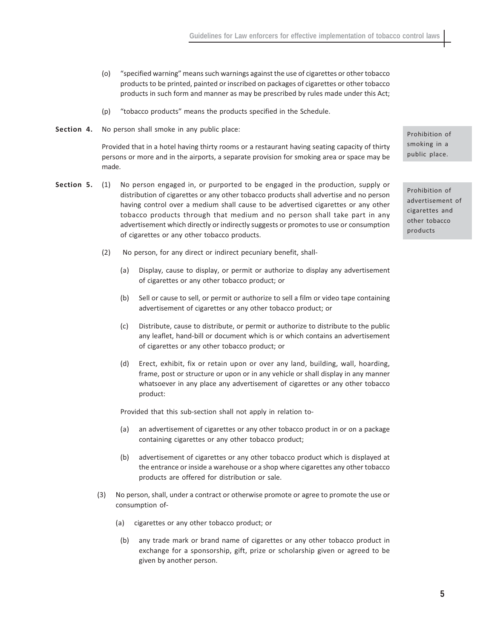- (o) "specified warning" means such warnings against the use of cigarettes or other tobacco products to be printed, painted or inscribed on packages of cigarettes or other tobacco products in such form and manner as may be prescribed by rules made under this Act;
- (p) "tobacco products" means the products specified in the Schedule.
- Section 4. No person shall smoke in any public place:

Provided that in a hotel having thirty rooms or a restaurant having seating capacity of thirty persons or more and in the airports, a separate provision for smoking area or space may be made.

- Section 5. (1) No person engaged in, or purported to be engaged in the production, supply or distribution of cigarettes or any other tobacco products shall advertise and no person having control over a medium shall cause to be advertised cigarettes or any other tobacco products through that medium and no person shall take part in any advertisement which directly or indirectly suggests or promotes to use or consumption of cigarettes or any other tobacco products.
	- (2) No person, for any direct or indirect pecuniary benefit, shall-
		- (a) Display, cause to display, or permit or authorize to display any advertisement of cigarettes or any other tobacco product; or
		- (b) Sell or cause to sell, or permit or authorize to sell a film or video tape containing advertisement of cigarettes or any other tobacco product; or
		- (c) Distribute, cause to distribute, or permit or authorize to distribute to the public any leaflet, hand-bill or document which is or which contains an advertisement of cigarettes or any other tobacco product; or
		- (d) Erect, exhibit, fix or retain upon or over any land, building, wall, hoarding, frame, post or structure or upon or in any vehicle or shall display in any manner whatsoever in any place any advertisement of cigarettes or any other tobacco product:

Provided that this sub-section shall not apply in relation to-

- (a) an advertisement of cigarettes or any other tobacco product in or on a package containing cigarettes or any other tobacco product;
- (b) advertisement of cigarettes or any other tobacco product which is displayed at the entrance or inside a warehouse or a shop where cigarettes any other tobacco products are offered for distribution or sale.
- (3) No person, shall, under a contract or otherwise promote or agree to promote the use or consumption of-
	- (a) cigarettes or any other tobacco product; or
	- (b) any trade mark or brand name of cigarettes or any other tobacco product in exchange for a sponsorship, gift, prize or scholarship given or agreed to be given by another person.

Prohibition of smoking in a public place.

Prohibition of advertisement of cigarettes and other tobacco products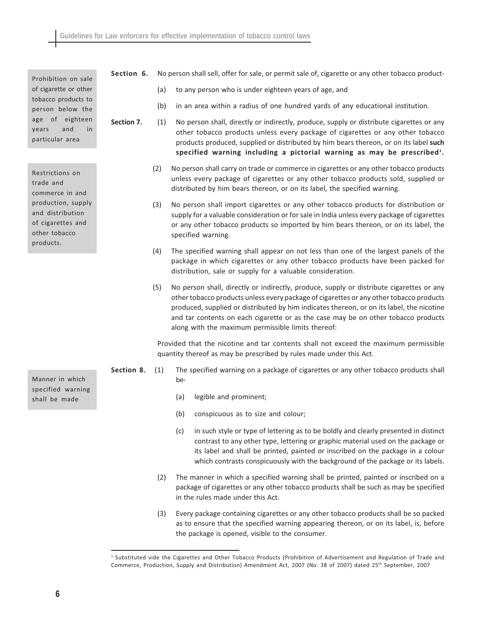Prohibition on sale of cigarette or other tobacco products to person below the age of eighteen years and in particular area

Restrictions on trade and commerce in and production, supply and distribution of cigarettes and other tobacco products.

Manner in which specified warning shall be made

- Section 6. No person shall sell, offer for sale, or permit sale of, cigarette or any other tobacco product-
	- (a) to any person who is under eighteen years of age, and
	- (b) in an area within a radius of one hundred yards of any educational institution.
- Section 7. (1) No person shall, directly or indirectly, produce, supply or distribute cigarettes or any other tobacco products unless every package of cigarettes or any other tobacco products produced, supplied or distributed by him bears thereon, or on its label such specified warning including a pictorial warning as may be prescribed $^1$ .
	- (2) No person shall carry on trade or commerce in cigarettes or any other tobacco products unless every package of cigarettes or any other tobacco products sold, supplied or distributed by him bears thereon, or on its label, the specified warning.
	- (3) No person shall import cigarettes or any other tobacco products for distribution or supply for a valuable consideration or for sale in India unless every package of cigarettes or any other tobacco products so imported by him bears thereon, or on its label, the specified warning.
	- (4) The specified warning shall appear on not less than one of the largest panels of the package in which cigarettes or any other tobacco products have been packed for distribution, sale or supply for a valuable consideration.
	- (5) No person shall, directly or indirectly, produce, supply or distribute cigarettes or any other tobacco products unless every package of cigarettes or any other tobacco products produced, supplied or distributed by him indicates thereon, or on its label, the nicotine and tar contents on each cigarette or as the case may be on other tobacco products along with the maximum permissible limits thereof:

Provided that the nicotine and tar contents shall not exceed the maximum permissible quantity thereof as may be prescribed by rules made under this Act.

- Section 8. (1) The specified warning on a package of cigarettes or any other tobacco products shall be-
	- (a) legible and prominent;
	- (b) conspicuous as to size and colour;
	- (c) in such style or type of lettering as to be boldly and clearly presented in distinct contrast to any other type, lettering or graphic material used on the package or its label and shall be printed, painted or inscribed on the package in a colour which contrasts conspicuously with the background of the package or its labels.
	- (2) The manner in which a specified warning shall be printed, painted or inscribed on a package of cigarettes or any other tobacco products shall be such as may be specified in the rules made under this Act.
	- (3) Every package containing cigarettes or any other tobacco products shall be so packed as to ensure that the specified warning appearing thereon, or on its label, is, before the package is opened, visible to the consumer.

<sup>&</sup>lt;sup>1</sup> Substituted vide the Cigarettes and Other Tobacco Products (Prohibition of Advertisement and Regulation of Trade and Commerce, Production, Supply and Distribution) Amendment Act, 2007 (No. 38 of 2007) dated 25th September, 2007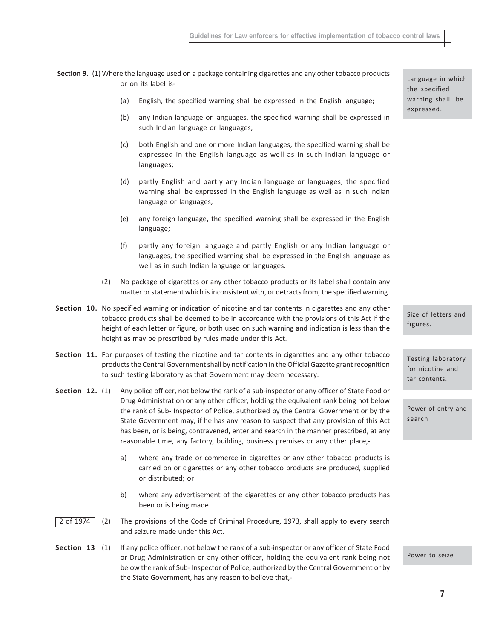- Section 9. (1) Where the language used on a package containing cigarettes and any other tobacco products or on its label is-
	- (a) English, the specified warning shall be expressed in the English language;
	- (b) any Indian language or languages, the specified warning shall be expressed in such Indian language or languages;
	- (c) both English and one or more Indian languages, the specified warning shall be expressed in the English language as well as in such Indian language or languages;
	- (d) partly English and partly any Indian language or languages, the specified warning shall be expressed in the English language as well as in such Indian language or languages;
	- (e) any foreign language, the specified warning shall be expressed in the English language;
	- (f) partly any foreign language and partly English or any Indian language or languages, the specified warning shall be expressed in the English language as well as in such Indian language or languages.
	- (2) No package of cigarettes or any other tobacco products or its label shall contain any matter or statement which is inconsistent with, or detracts from, the specified warning.
- Section 10. No specified warning or indication of nicotine and tar contents in cigarettes and any other tobacco products shall be deemed to be in accordance with the provisions of this Act if the height of each letter or figure, or both used on such warning and indication is less than the height as may be prescribed by rules made under this Act.
- Section 11. For purposes of testing the nicotine and tar contents in cigarettes and any other tobacco products the Central Government shall by notification in the Official Gazette grant recognition to such testing laboratory as that Government may deem necessary.
- Section 12. (1) Any police officer, not below the rank of a sub-inspector or any officer of State Food or Drug Administration or any other officer, holding the equivalent rank being not below the rank of Sub- Inspector of Police, authorized by the Central Government or by the State Government may, if he has any reason to suspect that any provision of this Act has been, or is being, contravened, enter and search in the manner prescribed, at any reasonable time, any factory, building, business premises or any other place,
	- a) where any trade or commerce in cigarettes or any other tobacco products is carried on or cigarettes or any other tobacco products are produced, supplied or distributed; or
	- b) where any advertisement of the cigarettes or any other tobacco products has been or is being made.
- 2 of 1974 (2) The provisions of the Code of Criminal Procedure, 1973, shall apply to every search and seizure made under this Act.
- Section 13 (1) If any police officer, not below the rank of a sub-inspector or any officer of State Food or Drug Administration or any other officer, holding the equivalent rank being not below the rank of Sub- Inspector of Police, authorized by the Central Government or by the State Government, has any reason to believe that,-

Language in which the specified warning shall be expressed.

Size of letters and figures.

Testing laboratory for nicotine and tar contents.

Power of entry and search

Power to seize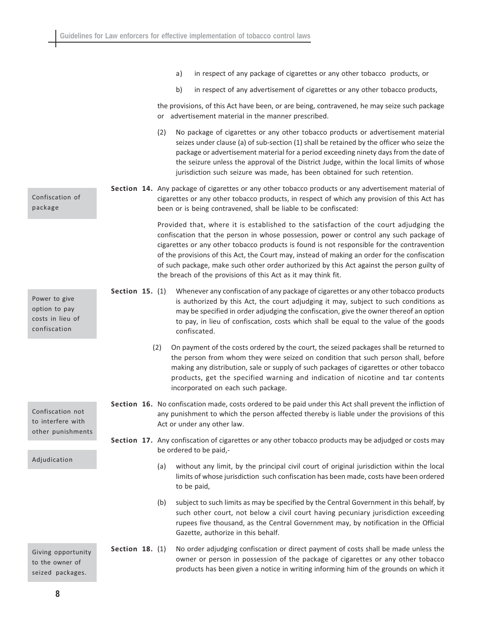- a) in respect of any package of cigarettes or any other tobacco products, or
- b) in respect of any advertisement of cigarettes or any other tobacco products,

the provisions, of this Act have been, or are being, contravened, he may seize such package or advertisement material in the manner prescribed.

- (2) No package of cigarettes or any other tobacco products or advertisement material seizes under clause (a) of sub-section (1) shall be retained by the officer who seize the package or advertisement material for a period exceeding ninety days from the date of the seizure unless the approval of the District Judge, within the local limits of whose jurisdiction such seizure was made, has been obtained for such retention.
- Section 14. Any package of cigarettes or any other tobacco products or any advertisement material of cigarettes or any other tobacco products, in respect of which any provision of this Act has been or is being contravened, shall be liable to be confiscated:

Provided that, where it is established to the satisfaction of the court adjudging the confiscation that the person in whose possession, power or control any such package of cigarettes or any other tobacco products is found is not responsible for the contravention of the provisions of this Act, the Court may, instead of making an order for the confiscation of such package, make such other order authorized by this Act against the person guilty of the breach of the provisions of this Act as it may think fit.

- Section 15. (1) Whenever any confiscation of any package of cigarettes or any other tobacco products is authorized by this Act, the court adjudging it may, subject to such conditions as may be specified in order adjudging the confiscation, give the owner thereof an option to pay, in lieu of confiscation, costs which shall be equal to the value of the goods confiscated.
	- (2) On payment of the costs ordered by the court, the seized packages shall be returned to the person from whom they were seized on condition that such person shall, before making any distribution, sale or supply of such packages of cigarettes or other tobacco products, get the specified warning and indication of nicotine and tar contents incorporated on each such package.
- Section 16. No confiscation made, costs ordered to be paid under this Act shall prevent the infliction of any punishment to which the person affected thereby is liable under the provisions of this Act or under any other law.
- Section 17. Any confiscation of cigarettes or any other tobacco products may be adjudged or costs may be ordered to be paid,-
	- (a) without any limit, by the principal civil court of original jurisdiction within the local limits of whose jurisdiction such confiscation has been made, costs have been ordered to be paid,
	- (b) subject to such limits as may be specified by the Central Government in this behalf, by such other court, not below a civil court having pecuniary jurisdiction exceeding rupees five thousand, as the Central Government may, by notification in the Official Gazette, authorize in this behalf.

#### Section 18. (1) No order adjudging confiscation or direct payment of costs shall be made unless the owner or person in possession of the package of cigarettes or any other tobacco products has been given a notice in writing informing him of the grounds on which it Giving opportunity to the owner of seized packages.

Confiscation of package

Power to give option to pay costs in lieu of confiscation

Confiscation not to interfere with other punishments

Adjudication

**8**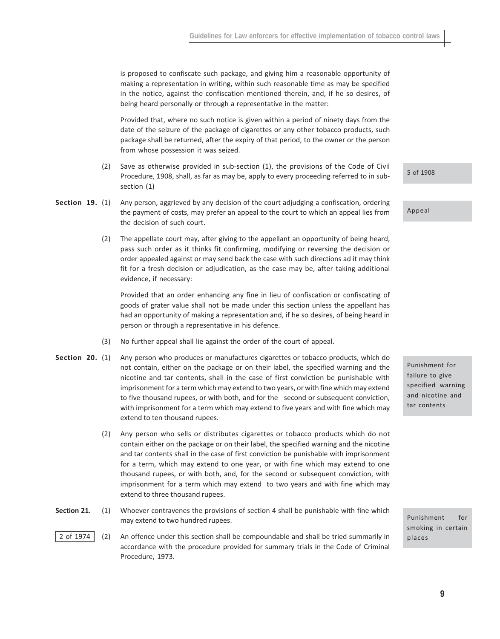is proposed to confiscate such package, and giving him a reasonable opportunity of making a representation in writing, within such reasonable time as may be specified in the notice, against the confiscation mentioned therein, and, if he so desires, of being heard personally or through a representative in the matter:

Provided that, where no such notice is given within a period of ninety days from the date of the seizure of the package of cigarettes or any other tobacco products, such package shall be returned, after the expiry of that period, to the owner or the person from whose possession it was seized.

- (2) Save as otherwise provided in sub-section (1), the provisions of the Code of Civil Procedure, 1908, shall, as far as may be, apply to every proceeding referred to in subsection (1)
- Section 19. (1) Any person, aggrieved by any decision of the court adjudging a confiscation, ordering the payment of costs, may prefer an appeal to the court to which an appeal lies from the decision of such court.
	- (2) The appellate court may, after giving to the appellant an opportunity of being heard, pass such order as it thinks fit confirming, modifying or reversing the decision or order appealed against or may send back the case with such directions ad it may think fit for a fresh decision or adjudication, as the case may be, after taking additional evidence, if necessary:

Provided that an order enhancing any fine in lieu of confiscation or confiscating of goods of grater value shall not be made under this section unless the appellant has had an opportunity of making a representation and, if he so desires, of being heard in person or through a representative in his defence.

- (3) No further appeal shall lie against the order of the court of appeal.
- Section 20. (1) Any person who produces or manufactures cigarettes or tobacco products, which do not contain, either on the package or on their label, the specified warning and the nicotine and tar contents, shall in the case of first conviction be punishable with imprisonment for a term which may extend to two years, or with fine which may extend to five thousand rupees, or with both, and for the second or subsequent conviction, with imprisonment for a term which may extend to five years and with fine which may extend to ten thousand rupees.
	- (2) Any person who sells or distributes cigarettes or tobacco products which do not contain either on the package or on their label, the specified warning and the nicotine and tar contents shall in the case of first conviction be punishable with imprisonment for a term, which may extend to one year, or with fine which may extend to one thousand rupees, or with both, and, for the second or subsequent conviction, with imprisonment for a term which may extend to two years and with fine which may extend to three thousand rupees.
- Section 21. (1) Whoever contravenes the provisions of section 4 shall be punishable with fine which may extend to two hundred rupees.
- 2 of 1974 (2) An offence under this section shall be compoundable and shall be tried summarily in accordance with the procedure provided for summary trials in the Code of Criminal Procedure, 1973.

5 of 1908

Appeal

Punishment for failure to give specified warning and nicotine and tar contents

Punishment for smoking in certain places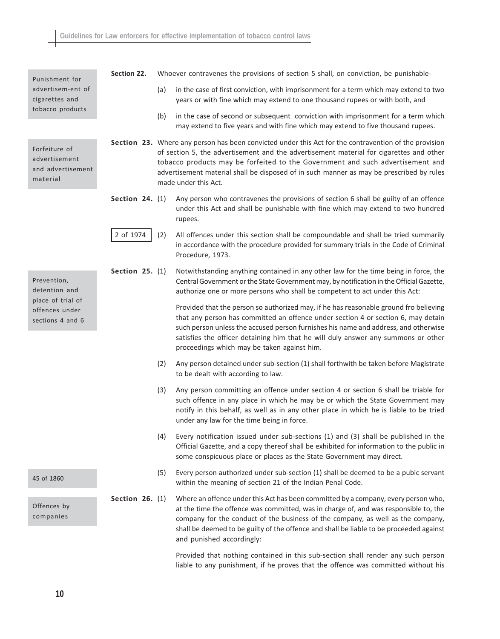Punishment for advertisem-ent of cigarettes and tobacco products

Forfeiture of advertisement and advertisement material

Prevention, detention and place of trial of offences under sections 4 and 6

45 of 1860

Offences by companies

- **Section 22.** Whoever contravenes the provisions of section 5 shall, on conviction, be punishable-
	- (a) in the case of first conviction, with imprisonment for a term which may extend to two years or with fine which may extend to one thousand rupees or with both, and
	- (b) in the case of second or subsequent conviction with imprisonment for a term which may extend to five years and with fine which may extend to five thousand rupees.

Section 23. Where any person has been convicted under this Act for the contravention of the provision of section 5, the advertisement and the advertisement material for cigarettes and other tobacco products may be forfeited to the Government and such advertisement and advertisement material shall be disposed of in such manner as may be prescribed by rules made under this Act.

Section 24. (1) Any person who contravenes the provisions of section 6 shall be guilty of an offence under this Act and shall be punishable with fine which may extend to two hundred rupees.

2 of 1974 (2) All offences under this section shall be compoundable and shall be tried summarily in accordance with the procedure provided for summary trials in the Code of Criminal Procedure, 1973.

Section 25. (1) Notwithstanding anything contained in any other law for the time being in force, the Central Government or the State Government may, by notification in the Official Gazette, authorize one or more persons who shall be competent to act under this Act:

> Provided that the person so authorized may, if he has reasonable ground fro believing that any person has committed an offence under section 4 or section 6, may detain such person unless the accused person furnishes his name and address, and otherwise satisfies the officer detaining him that he will duly answer any summons or other proceedings which may be taken against him.

- (2) Any person detained under sub-section (1) shall forthwith be taken before Magistrate to be dealt with according to law.
- (3) Any person committing an offence under section 4 or section 6 shall be triable for such offence in any place in which he may be or which the State Government may notify in this behalf, as well as in any other place in which he is liable to be tried under any law for the time being in force.
- (4) Every notification issued under sub-sections (1) and (3) shall be published in the Official Gazette, and a copy thereof shall be exhibited for information to the public in some conspicuous place or places as the State Government may direct.
- (5) Every person authorized under sub-section (1) shall be deemed to be a pubic servant within the meaning of section 21 of the Indian Penal Code.

Section 26. (1) Where an offence under this Act has been committed by a company, every person who, at the time the offence was committed, was in charge of, and was responsible to, the company for the conduct of the business of the company, as well as the company, shall be deemed to be guilty of the offence and shall be liable to be proceeded against and punished accordingly:

> Provided that nothing contained in this sub-section shall render any such person liable to any punishment, if he proves that the offence was committed without his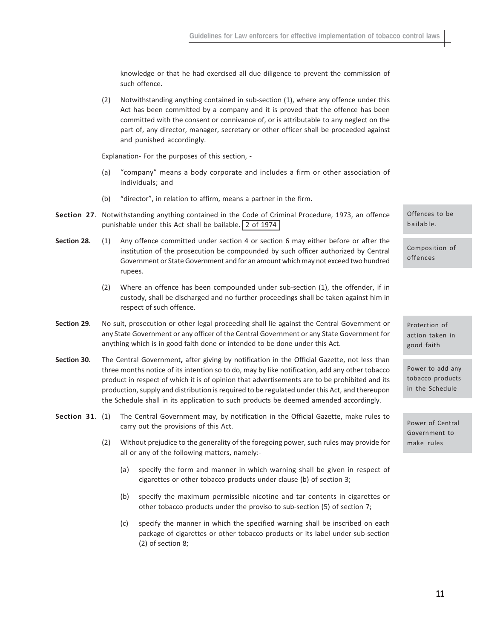knowledge or that he had exercised all due diligence to prevent the commission of such offence.

(2) Notwithstanding anything contained in sub-section (1), where any offence under this Act has been committed by a company and it is proved that the offence has been committed with the consent or connivance of, or is attributable to any neglect on the part of, any director, manager, secretary or other officer shall be proceeded against and punished accordingly.

Explanation- For the purposes of this section, -

- (a) "company" means a body corporate and includes a firm or other association of individuals; and
- (b) "director", in relation to affirm, means a partner in the firm.
- Section 27. Notwithstanding anything contained in the Code of Criminal Procedure, 1973, an offence punishable under this Act shall be bailable. 2 of 1974
- Section 28. (1) Any offence committed under section 4 or section 6 may either before or after the institution of the prosecution be compounded by such officer authorized by Central Government or State Government and for an amount which may not exceed two hundred rupees.
	- (2) Where an offence has been compounded under sub-section (1), the offender, if in custody, shall be discharged and no further proceedings shall be taken against him in respect of such offence.
- Section 29. No suit, prosecution or other legal proceeding shall lie against the Central Government or any State Government or any officer of the Central Government or any State Government for anything which is in good faith done or intended to be done under this Act.
- Section 30. The Central Government, after giving by notification in the Official Gazette, not less than three months notice of its intention so to do, may by like notification, add any other tobacco product in respect of which it is of opinion that advertisements are to be prohibited and its production, supply and distribution is required to be regulated under this Act, and thereupon the Schedule shall in its application to such products be deemed amended accordingly.
- Section 31. (1) The Central Government may, by notification in the Official Gazette, make rules to carry out the provisions of this Act.
	- (2) Without prejudice to the generality of the foregoing power, such rules may provide for all or any of the following matters, namely:-
		- (a) specify the form and manner in which warning shall be given in respect of cigarettes or other tobacco products under clause (b) of section 3;
		- (b) specify the maximum permissible nicotine and tar contents in cigarettes or other tobacco products under the proviso to sub-section (5) of section 7;
		- (c) specify the manner in which the specified warning shall be inscribed on each package of cigarettes or other tobacco products or its label under sub-section (2) of section 8;

Offences to be bailable.

Composition of offences

Protection of action taken in good faith

Power to add any tobacco products in the Schedule

Power of Central Government to make rules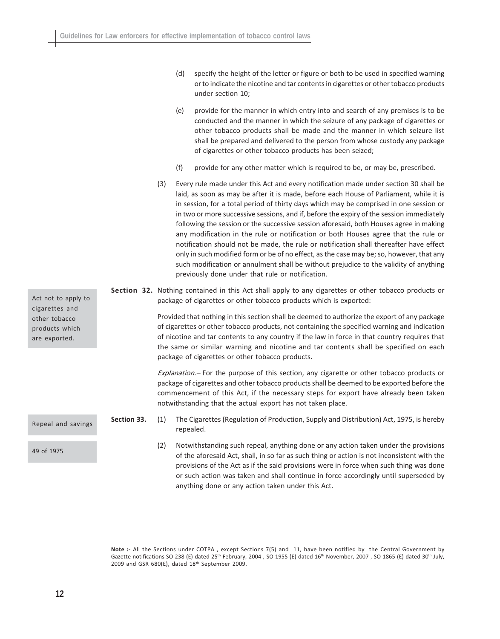- (d) specify the height of the letter or figure or both to be used in specified warning or to indicate the nicotine and tar contents in cigarettes or other tobacco products under section 10;
- (e) provide for the manner in which entry into and search of any premises is to be conducted and the manner in which the seizure of any package of cigarettes or other tobacco products shall be made and the manner in which seizure list shall be prepared and delivered to the person from whose custody any package of cigarettes or other tobacco products has been seized;
- (f) provide for any other matter which is required to be, or may be, prescribed.
- (3) Every rule made under this Act and every notification made under section 30 shall be laid, as soon as may be after it is made, before each House of Parliament, while it is in session, for a total period of thirty days which may be comprised in one session or in two or more successive sessions, and if, before the expiry of the session immediately following the session or the successive session aforesaid, both Houses agree in making any modification in the rule or notification or both Houses agree that the rule or notification should not be made, the rule or notification shall thereafter have effect only in such modified form or be of no effect, as the case may be; so, however, that any such modification or annulment shall be without prejudice to the validity of anything previously done under that rule or notification.
- Section 32. Nothing contained in this Act shall apply to any cigarettes or other tobacco products or package of cigarettes or other tobacco products which is exported:

Provided that nothing in this section shall be deemed to authorize the export of any package of cigarettes or other tobacco products, not containing the specified warning and indication of nicotine and tar contents to any country if the law in force in that country requires that the same or similar warning and nicotine and tar contents shall be specified on each package of cigarettes or other tobacco products.

Explanation.– For the purpose of this section, any cigarette or other tobacco products or package of cigarettes and other tobacco products shall be deemed to be exported before the commencement of this Act, if the necessary steps for export have already been taken notwithstanding that the actual export has not taken place.

- Section 33. (1) The Cigarettes (Regulation of Production, Supply and Distribution) Act, 1975, is hereby repealed.
	- (2) Notwithstanding such repeal, anything done or any action taken under the provisions of the aforesaid Act, shall, in so far as such thing or action is not inconsistent with the provisions of the Act as if the said provisions were in force when such thing was done or such action was taken and shall continue in force accordingly until superseded by anything done or any action taken under this Act.

Note :- All the Sections under COTPA, except Sections 7(5) and 11, have been notified by the Central Government by Gazette notifications SO 238 (E) dated 25<sup>th</sup> February, 2004, SO 1955 (E) dated 16<sup>th</sup> November, 2007, SO 1865 (E) dated 30<sup>th</sup> July, 2009 and GSR 680(E), dated 18th September 2009.

Act not to apply to cigarettes and other tobacco products which are exported.

Repeal and savings

49 of 1975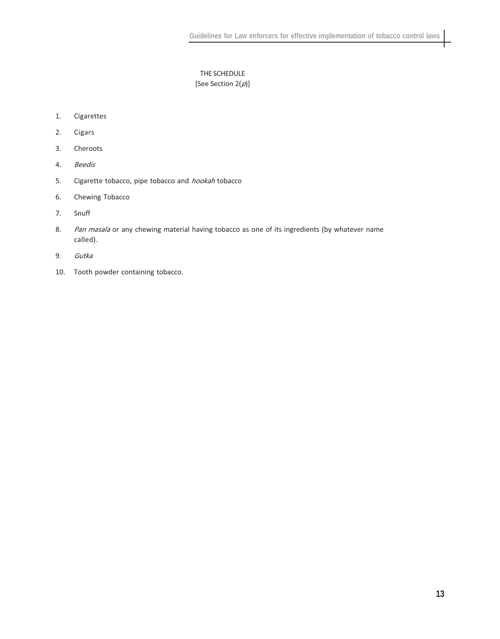#### THE SCHEDULE [See Section  $2(p)$ ]

- 1. Cigarettes
- 2. Cigars
- 3. Cheroots
- 4. Beedis
- 5. Cigarette tobacco, pipe tobacco and *hookah* tobacco
- 6. Chewing Tobacco
- 7. Snuff
- 8. Pan masala or any chewing material having tobacco as one of its ingredients (by whatever name called).
- 9. Gutka
- 10. Tooth powder containing tobacco.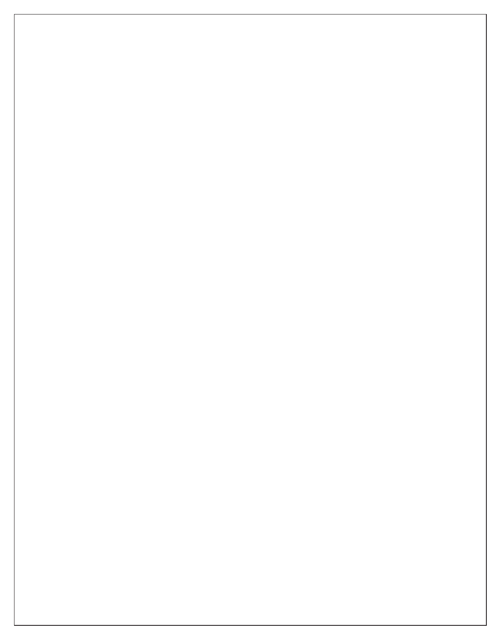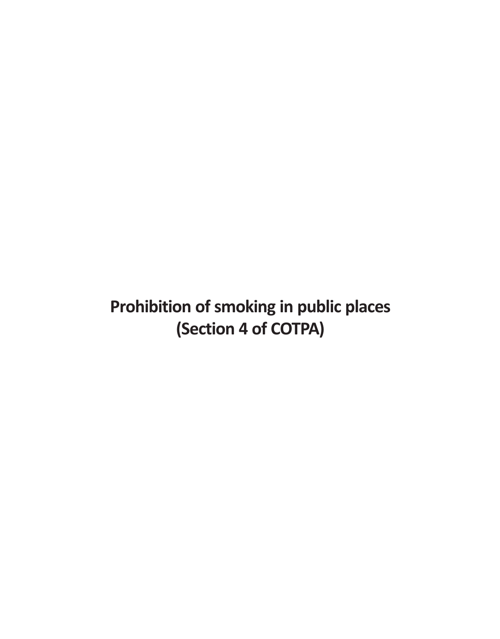## Prohibition of smoking in public places (Section 4 of COTPA)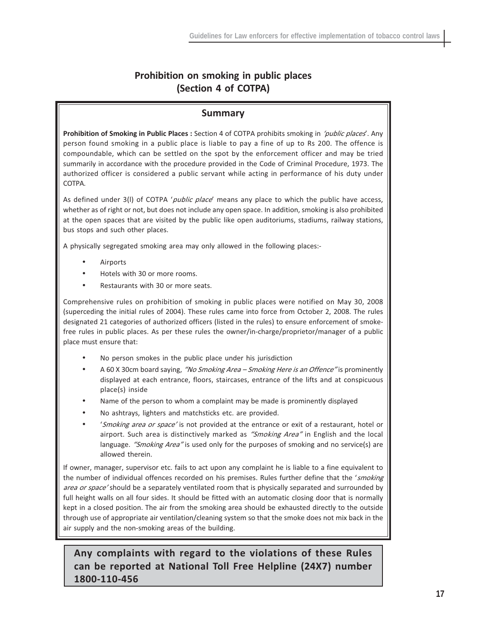## Prohibition on smoking in public places (Section 4 of COTPA)

## Summary

Prohibition of Smoking in Public Places : Section 4 of COTPA prohibits smoking in 'public places'. Any person found smoking in a public place is liable to pay a fine of up to Rs 200. The offence is compoundable, which can be settled on the spot by the enforcement officer and may be tried summarily in accordance with the procedure provided in the Code of Criminal Procedure, 1973. The authorized officer is considered a public servant while acting in performance of his duty under COTPA.

As defined under 3(I) of COTPA 'public place' means any place to which the public have access, whether as of right or not, but does not include any open space. In addition, smoking is also prohibited at the open spaces that are visited by the public like open auditoriums, stadiums, railway stations, bus stops and such other places.

A physically segregated smoking area may only allowed in the following places:-

- **Airports**
- Hotels with 30 or more rooms.
- Restaurants with 30 or more seats.

Comprehensive rules on prohibition of smoking in public places were notified on May 30, 2008 (superceding the initial rules of 2004). These rules came into force from October 2, 2008. The rules designated 21 categories of authorized officers (listed in the rules) to ensure enforcement of smokefree rules in public places. As per these rules the owner/in-charge/proprietor/manager of a public place must ensure that:

- No person smokes in the public place under his jurisdiction
- A 60 X 30cm board saying, "No Smoking Area Smoking Here is an Offence" is prominently displayed at each entrance, floors, staircases, entrance of the lifts and at conspicuous place(s) inside
- Name of the person to whom a complaint may be made is prominently displayed
- No ashtrays, lighters and matchsticks etc. are provided.
- *'Smoking area or space'* is not provided at the entrance or exit of a restaurant, hotel or airport. Such area is distinctively marked as "Smoking Area" in English and the local language. "Smoking Area" is used only for the purposes of smoking and no service(s) are allowed therein.

If owner, manager, supervisor etc. fails to act upon any complaint he is liable to a fine equivalent to the number of individual offences recorded on his premises. Rules further define that the 'smoking area or space' should be a separately ventilated room that is physically separated and surrounded by full height walls on all four sides. It should be fitted with an automatic closing door that is normally kept in a closed position. The air from the smoking area should be exhausted directly to the outside through use of appropriate air ventilation/cleaning system so that the smoke does not mix back in the air supply and the non-smoking areas of the building.

## Any complaints with regard to the violations of these Rules can be reported at National Toll Free Helpline (24X7) number 1800-110-456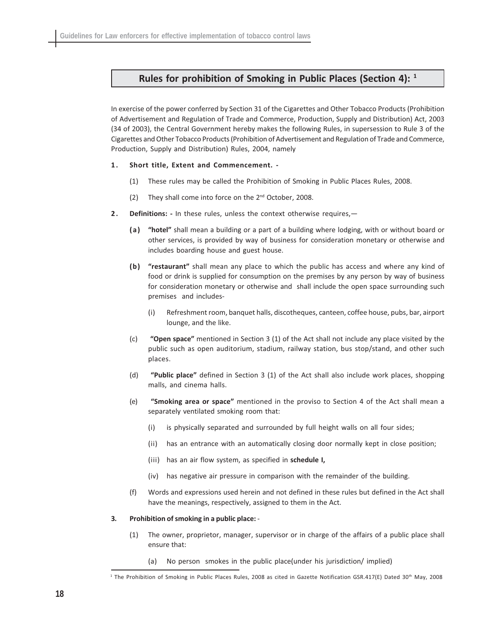## Rules for prohibition of Smoking in Public Places (Section 4): <sup>1</sup>

In exercise of the power conferred by Section 31 of the Cigarettes and Other Tobacco Products (Prohibition of Advertisement and Regulation of Trade and Commerce, Production, Supply and Distribution) Act, 2003 (34 of 2003), the Central Government hereby makes the following Rules, in supersession to Rule 3 of the Cigarettes and Other Tobacco Products (Prohibition of Advertisement and Regulation of Trade and Commerce, Production, Supply and Distribution) Rules, 2004, namely

#### 1. Short title, Extent and Commencement. -

- (1) These rules may be called the Prohibition of Smoking in Public Places Rules, 2008.
- (2) They shall come into force on the  $2<sup>nd</sup>$  October, 2008.
- 2. Definitions: In these rules, unless the context otherwise requires,-
	- (a) "hotel" shall mean a building or a part of a building where lodging, with or without board or other services, is provided by way of business for consideration monetary or otherwise and includes boarding house and guest house.
	- (b) "restaurant" shall mean any place to which the public has access and where any kind of food or drink is supplied for consumption on the premises by any person by way of business for consideration monetary or otherwise and shall include the open space surrounding such premises and includes-
		- (i) Refreshment room, banquet halls, discotheques, canteen, coffee house, pubs, bar, airport lounge, and the like.
	- (c) "Open space" mentioned in Section 3 (1) of the Act shall not include any place visited by the public such as open auditorium, stadium, railway station, bus stop/stand, and other such places.
	- (d) "Public place" defined in Section 3 (1) of the Act shall also include work places, shopping malls, and cinema halls.
	- (e) "Smoking area or space" mentioned in the proviso to Section 4 of the Act shall mean a separately ventilated smoking room that:
		- (i) is physically separated and surrounded by full height walls on all four sides;
		- (ii) has an entrance with an automatically closing door normally kept in close position;
		- (iii) has an air flow system, as specified in schedule I,
		- (iv) has negative air pressure in comparison with the remainder of the building.
	- (f) Words and expressions used herein and not defined in these rules but defined in the Act shall have the meanings, respectively, assigned to them in the Act.

#### 3. Prohibition of smoking in a public place: -

- (1) The owner, proprietor, manager, supervisor or in charge of the affairs of a public place shall ensure that:
	- (a) No person smokes in the public place(under his jurisdiction/ implied)

<sup>&</sup>lt;sup>1</sup> The Prohibition of Smoking in Public Places Rules, 2008 as cited in Gazette Notification GSR.417(E) Dated 30<sup>th</sup> May, 2008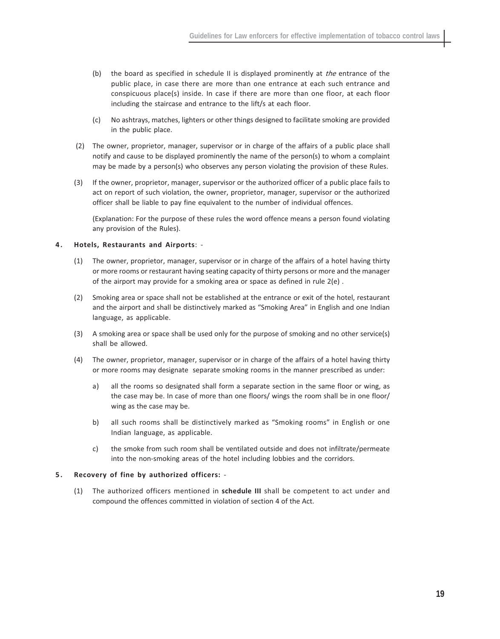- (b) the board as specified in schedule II is displayed prominently at *the* entrance of the public place, in case there are more than one entrance at each such entrance and conspicuous place(s) inside. In case if there are more than one floor, at each floor including the staircase and entrance to the lift/s at each floor.
- (c) No ashtrays, matches, lighters or other things designed to facilitate smoking are provided in the public place.
- (2) The owner, proprietor, manager, supervisor or in charge of the affairs of a public place shall notify and cause to be displayed prominently the name of the person(s) to whom a complaint may be made by a person(s) who observes any person violating the provision of these Rules.
- (3) If the owner, proprietor, manager, supervisor or the authorized officer of a public place fails to act on report of such violation, the owner, proprietor, manager, supervisor or the authorized officer shall be liable to pay fine equivalent to the number of individual offences.

(Explanation: For the purpose of these rules the word offence means a person found violating any provision of the Rules).

#### 4. Hotels, Restaurants and Airports: -

- (1) The owner, proprietor, manager, supervisor or in charge of the affairs of a hotel having thirty or more rooms or restaurant having seating capacity of thirty persons or more and the manager of the airport may provide for a smoking area or space as defined in rule 2(e) .
- (2) Smoking area or space shall not be established at the entrance or exit of the hotel, restaurant and the airport and shall be distinctively marked as "Smoking Area" in English and one Indian language, as applicable.
- (3) A smoking area or space shall be used only for the purpose of smoking and no other service(s) shall be allowed.
- (4) The owner, proprietor, manager, supervisor or in charge of the affairs of a hotel having thirty or more rooms may designate separate smoking rooms in the manner prescribed as under:
	- a) all the rooms so designated shall form a separate section in the same floor or wing, as the case may be. In case of more than one floors/ wings the room shall be in one floor/ wing as the case may be.
	- b) all such rooms shall be distinctively marked as "Smoking rooms" in English or one Indian language, as applicable.
	- c) the smoke from such room shall be ventilated outside and does not infiltrate/permeate into the non-smoking areas of the hotel including lobbies and the corridors.

#### 5. Recovery of fine by authorized officers: -

(1) The authorized officers mentioned in schedule III shall be competent to act under and compound the offences committed in violation of section 4 of the Act.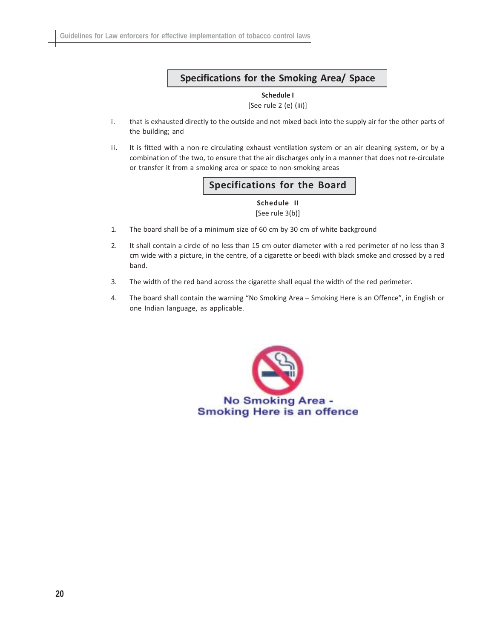## Specifications for the Smoking Area/ Space

Schedule I [See rule 2 (e) (iii)]

- i. that is exhausted directly to the outside and not mixed back into the supply air for the other parts of the building; and
- ii. It is fitted with a non-re circulating exhaust ventilation system or an air cleaning system, or by a combination of the two, to ensure that the air discharges only in a manner that does not re-circulate or transfer it from a smoking area or space to non-smoking areas



[See rule 3(b)]

- 1. The board shall be of a minimum size of 60 cm by 30 cm of white background
- 2. It shall contain a circle of no less than 15 cm outer diameter with a red perimeter of no less than 3 cm wide with a picture, in the centre, of a cigarette or beedi with black smoke and crossed by a red band.
- 3. The width of the red band across the cigarette shall equal the width of the red perimeter.
- 4. The board shall contain the warning "No Smoking Area Smoking Here is an Offence", in English or one Indian language, as applicable.

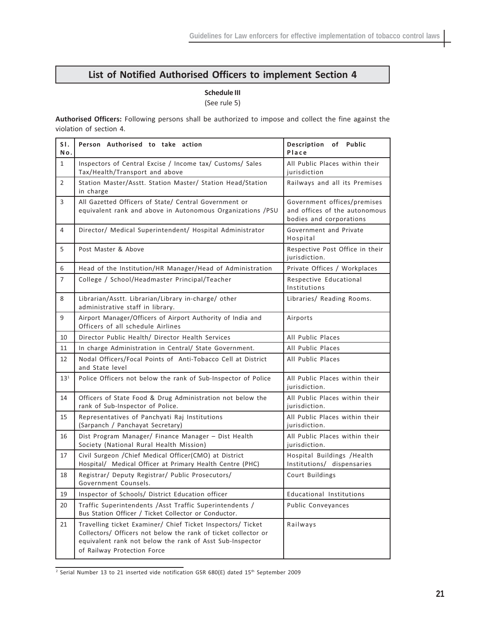## List of Notified Authorised Officers to implement Section 4

## Schedule III

#### (See rule 5)

Authorised Officers: Following persons shall be authorized to impose and collect the fine against the violation of section 4.

| SI.<br>Νo.     | Person Authorised to take action                                                                                                                                                                                         | Description of Public<br>Place                                                          |
|----------------|--------------------------------------------------------------------------------------------------------------------------------------------------------------------------------------------------------------------------|-----------------------------------------------------------------------------------------|
| $\mathbf{1}$   | Inspectors of Central Excise / Income tax/ Customs/ Sales<br>Tax/Health/Transport and above                                                                                                                              | All Public Places within their<br>jurisdiction                                          |
| $\overline{2}$ | Station Master/Asstt. Station Master/ Station Head/Station<br>in charge                                                                                                                                                  | Railways and all its Premises                                                           |
| 3              | All Gazetted Officers of State/ Central Government or<br>equivalent rank and above in Autonomous Organizations / PSU                                                                                                     | Government offices/premises<br>and offices of the autonomous<br>bodies and corporations |
| 4              | Director/ Medical Superintendent/ Hospital Administrator                                                                                                                                                                 | Government and Private<br>Hospital                                                      |
| 5              | Post Master & Above                                                                                                                                                                                                      | Respective Post Office in their<br>jurisdiction.                                        |
| 6              | Head of the Institution/HR Manager/Head of Administration                                                                                                                                                                | Private Offices / Workplaces                                                            |
| $\overline{7}$ | College / School/Headmaster Principal/Teacher                                                                                                                                                                            | Respective Educational<br>Institutions                                                  |
| 8              | Librarian/Asstt. Librarian/Library in-charge/ other<br>administrative staff in library.                                                                                                                                  | Libraries/ Reading Rooms.                                                               |
| 9              | Airport Manager/Officers of Airport Authority of India and<br>Officers of all schedule Airlines                                                                                                                          | Airports                                                                                |
| 10             | Director Public Health/ Director Health Services                                                                                                                                                                         | All Public Places                                                                       |
| 11             | In charge Administration in Central/ State Government.                                                                                                                                                                   | All Public Places                                                                       |
| 12             | Nodal Officers/Focal Points of Anti-Tobacco Cell at District<br>and State level                                                                                                                                          | All Public Places                                                                       |
| $13^{1}$       | Police Officers not below the rank of Sub-Inspector of Police                                                                                                                                                            | All Public Places within their<br>jurisdiction.                                         |
| 14             | Officers of State Food & Drug Administration not below the<br>rank of Sub-Inspector of Police.                                                                                                                           | All Public Places within their<br>jurisdiction.                                         |
| 15             | Representatives of Panchyati Raj Institutions<br>(Sarpanch / Panchayat Secretary)                                                                                                                                        | All Public Places within their<br>jurisdiction.                                         |
| 16             | Dist Program Manager/ Finance Manager - Dist Health<br>Society (National Rural Health Mission)                                                                                                                           | All Public Places within their<br>jurisdiction.                                         |
| 17             | Civil Surgeon / Chief Medical Officer (CMO) at District<br>Hospital/ Medical Officer at Primary Health Centre (PHC)                                                                                                      | Hospital Buildings /Health<br>Institutions/ dispensaries                                |
| 18             | Registrar/ Deputy Registrar/ Public Prosecutors/<br>Government Counsels.                                                                                                                                                 | Court Buildings                                                                         |
| 19             | Inspector of Schools/ District Education officer                                                                                                                                                                         | Educational Institutions                                                                |
| 20             | Traffic Superintendents / Asst Traffic Superintendents /<br>Bus Station Officer / Ticket Collector or Conductor.                                                                                                         | Public Conveyances                                                                      |
| 21             | Travelling ticket Examiner/ Chief Ticket Inspectors/ Ticket<br>Collectors/ Officers not below the rank of ticket collector or<br>equivalent rank not below the rank of Asst Sub-Inspector<br>of Railway Protection Force | Railways                                                                                |

<sup>&</sup>lt;sup>2</sup> Serial Number 13 to 21 inserted vide notification GSR 680(E) dated 15<sup>th</sup> September 2009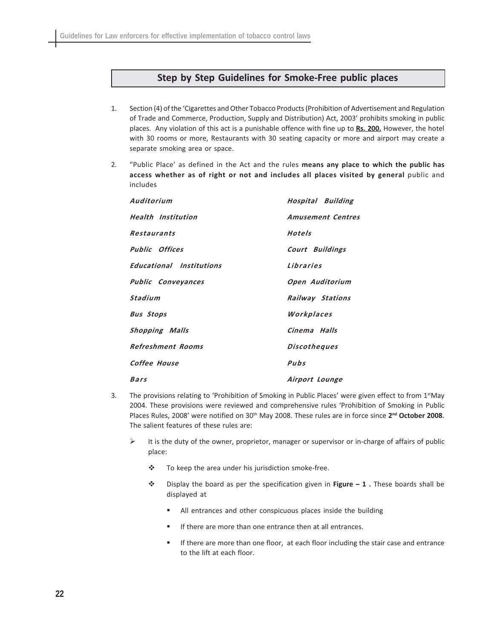## Step by Step Guidelines for Smoke-Free public places

- 1. Section (4) of the 'Cigarettes and Other Tobacco Products (Prohibition of Advertisement and Regulation of Trade and Commerce, Production, Supply and Distribution) Act, 2003' prohibits smoking in public places. Any violation of this act is a punishable offence with fine up to Rs. 200. However, the hotel with 30 rooms or more, Restaurants with 30 seating capacity or more and airport may create a separate smoking area or space.
- 2. "Public Place' as defined in the Act and the rules means any place to which the public has access whether as of right or not and includes all places visited by general public and includes

| Auditorium                | Hospital Building               |
|---------------------------|---------------------------------|
| <b>Health</b> Institution | <i><b>Amusement Centres</b></i> |
| <b>Restaurants</b>        | Hotels                          |
| <b>Public Offices</b>     | Court Buildings                 |
| Educational Institutions  | Libraries                       |
| <b>Public Conveyances</b> | Open Auditorium                 |
| Stadium                   | <b>Railway Stations</b>         |
| <b>Bus Stops</b>          | Workplaces                      |
| <b>Shopping Malls</b>     | Cinema Halls                    |
| <b>Refreshment Rooms</b>  | <b>Discotheques</b>             |
| Coffee House              | Pubs                            |
| <b>Bars</b>               | Airport Lounge                  |

- 3. The provisions relating to 'Prohibition of Smoking in Public Places' were given effect to from 1<sup>st</sup>May 2004. These provisions were reviewed and comprehensive rules 'Prohibition of Smoking in Public Places Rules, 2008' were notified on 30<sup>th</sup> May 2008. These rules are in force since 2<sup>nd</sup> October 2008. The salient features of these rules are:
	- $\triangleright$  It is the duty of the owner, proprietor, manager or supervisor or in-charge of affairs of public place:
		- $\ddot{\cdot}$ To keep the area under his jurisdiction smoke-free.
		- $\frac{1}{2}$ Display the board as per the specification given in Figure  $-1$ . These boards shall be displayed at
			- All entrances and other conspicuous places inside the building
			- If there are more than one entrance then at all entrances.
			- **If there are more than one floor, at each floor including the stair case and entrance** to the lift at each floor.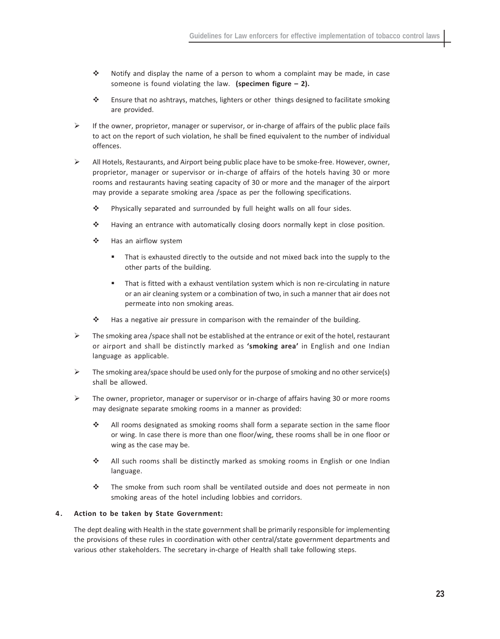- $\ddot{\cdot}$  Notify and display the name of a person to whom a complaint may be made, in case someone is found violating the law. (specimen figure  $- 2$ ).
- $\frac{1}{2}$  Ensure that no ashtrays, matches, lighters or other things designed to facilitate smoking are provided.
- $\triangleright$  If the owner, proprietor, manager or supervisor, or in-charge of affairs of the public place fails to act on the report of such violation, he shall be fined equivalent to the number of individual offences.
- $\triangleright$  All Hotels, Restaurants, and Airport being public place have to be smoke-free. However, owner, proprietor, manager or supervisor or in-charge of affairs of the hotels having 30 or more rooms and restaurants having seating capacity of 30 or more and the manager of the airport may provide a separate smoking area /space as per the following specifications.
	- $\ddot{\cdot}$ Physically separated and surrounded by full height walls on all four sides.
	- $\ddot{\cdot}$ Having an entrance with automatically closing doors normally kept in close position.
	- $\frac{1}{2}$  Has an airflow system
		- That is exhausted directly to the outside and not mixed back into the supply to the other parts of the building.
		- That is fitted with a exhaust ventilation system which is non re-circulating in nature or an air cleaning system or a combination of two, in such a manner that air does not permeate into non smoking areas.
	- $\frac{1}{2}$ Has a negative air pressure in comparison with the remainder of the building.
- $\triangleright$  The smoking area /space shall not be established at the entrance or exit of the hotel, restaurant or airport and shall be distinctly marked as 'smoking area' in English and one Indian language as applicable.
- $\triangleright$  The smoking area/space should be used only for the purpose of smoking and no other service(s) shall be allowed.
- $\triangleright$  The owner, proprietor, manager or supervisor or in-charge of affairs having 30 or more rooms may designate separate smoking rooms in a manner as provided:
	- $\ddot{\cdot}$  All rooms designated as smoking rooms shall form a separate section in the same floor or wing. In case there is more than one floor/wing, these rooms shall be in one floor or wing as the case may be.
	- $\frac{1}{2}$  All such rooms shall be distinctly marked as smoking rooms in English or one Indian language.
	- $\ddot{\cdot}$  The smoke from such room shall be ventilated outside and does not permeate in non smoking areas of the hotel including lobbies and corridors.

#### 4. Action to be taken by State Government:

The dept dealing with Health in the state government shall be primarily responsible for implementing the provisions of these rules in coordination with other central/state government departments and various other stakeholders. The secretary in-charge of Health shall take following steps.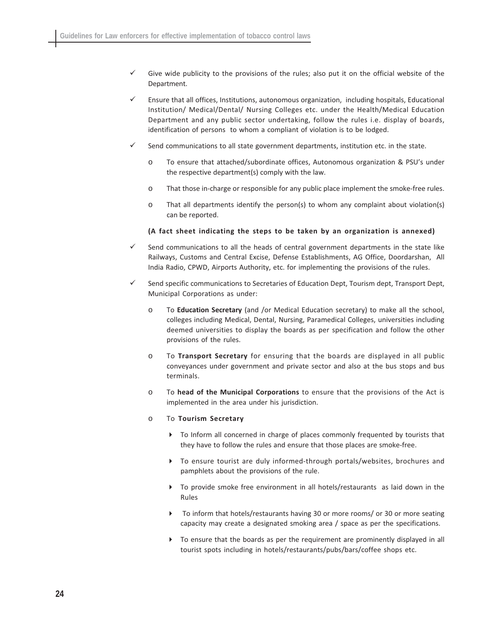- $\checkmark$  Give wide publicity to the provisions of the rules; also put it on the official website of the Department.
- Ensure that all offices, Institutions, autonomous organization, including hospitals, Educational Institution/ Medical/Dental/ Nursing Colleges etc. under the Health/Medical Education Department and any public sector undertaking, follow the rules i.e. display of boards, identification of persons to whom a compliant of violation is to be lodged.
- Send communications to all state government departments, institution etc. in the state.
	- o To ensure that attached/subordinate offices, Autonomous organization & PSU's under the respective department(s) comply with the law.
	- o That those in-charge or responsible for any public place implement the smoke-free rules.
	- $\circ$  That all departments identify the person(s) to whom any complaint about violation(s) can be reported.

#### (A fact sheet indicating the steps to be taken by an organization is annexed)

- $\checkmark$  Send communications to all the heads of central government departments in the state like Railways, Customs and Central Excise, Defense Establishments, AG Office, Doordarshan, All India Radio, CPWD, Airports Authority, etc. for implementing the provisions of the rules.
- Send specific communications to Secretaries of Education Dept, Tourism dept, Transport Dept, Municipal Corporations as under:
	- o To Education Secretary (and /or Medical Education secretary) to make all the school, colleges including Medical, Dental, Nursing, Paramedical Colleges, universities including deemed universities to display the boards as per specification and follow the other provisions of the rules.
	- o To Transport Secretary for ensuring that the boards are displayed in all public conveyances under government and private sector and also at the bus stops and bus terminals.
	- o To head of the Municipal Corporations to ensure that the provisions of the Act is implemented in the area under his jurisdiction.

#### o To Tourism Secretary

- To Inform all concerned in charge of places commonly frequented by tourists that they have to follow the rules and ensure that those places are smoke-free.
- To ensure tourist are duly informed-through portals/websites, brochures and pamphlets about the provisions of the rule.
- To provide smoke free environment in all hotels/restaurants as laid down in the Rules
- To inform that hotels/restaurants having 30 or more rooms/ or 30 or more seating capacity may create a designated smoking area / space as per the specifications.
- To ensure that the boards as per the requirement are prominently displayed in all tourist spots including in hotels/restaurants/pubs/bars/coffee shops etc.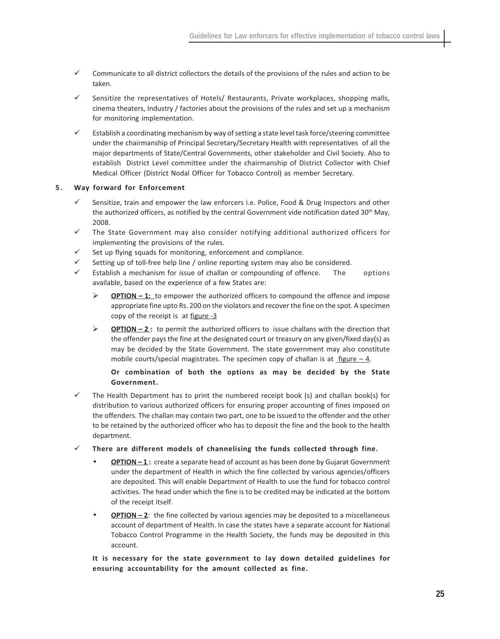- $\checkmark$  Communicate to all district collectors the details of the provisions of the rules and action to be taken.
- Sensitize the representatives of Hotels/ Restaurants, Private workplaces, shopping malls, cinema theaters, Industry / factories about the provisions of the rules and set up a mechanism for monitoring implementation.
- $\checkmark$  Establish a coordinating mechanism by way of setting a state level task force/steering committee under the chairmanship of Principal Secretary/Secretary Health with representatives of all the major departments of State/Central Governments, other stakeholder and Civil Society. Also to establish District Level committee under the chairmanship of District Collector with Chief Medical Officer (District Nodal Officer for Tobacco Control) as member Secretary.

#### 5. Way forward for Enforcement

- $\checkmark$  Sensitize, train and empower the law enforcers i.e. Police, Food & Drug Inspectors and other the authorized officers, as notified by the central Government vide notification dated 30<sup>th</sup> May, 2008.
- $\checkmark$  The State Government may also consider notifying additional authorized officers for implementing the provisions of the rules.
- Set up flying squads for monitoring, enforcement and compliance.
- Setting up of toll-free help line / online reporting system may also be considered.
- Establish a mechanism for issue of challan or compounding of offence. The options available, based on the experience of a few States are:
	- $\triangleright$  OPTION 1: to empower the authorized officers to compound the offence and impose appropriate fine upto Rs. 200 on the violators and recover the fine on the spot. A specimen copy of the receipt is at figure -3
	- $\triangleright$  OPTION 2: to permit the authorized officers to issue challans with the direction that the offender pays the fine at the designated court or treasury on any given/fixed day(s) as may be decided by the State Government. The state government may also constitute mobile courts/special magistrates. The specimen copy of challan is at figure  $-4$ .

#### Or combination of both the options as may be decided by the State Government.

- $\checkmark$  The Health Department has to print the numbered receipt book (s) and challan book(s) for distribution to various authorized officers for ensuring proper accounting of fines imposed on the offenders. The challan may contain two part, one to be issued to the offender and the other to be retained by the authorized officer who has to deposit the fine and the book to the health department.
- $\checkmark$  There are different models of channelising the funds collected through fine.
	- **OPTION 1** : create a separate head of account as has been done by Gujarat Government under the department of Health in which the fine collected by various agencies/officers are deposited. This will enable Department of Health to use the fund for tobacco control activities. The head under which the fine is to be credited may be indicated at the bottom of the receipt itself.
	- **OPTION 2**: the fine collected by various agencies may be deposited to a miscellaneous account of department of Health. In case the states have a separate account for National Tobacco Control Programme in the Health Society, the funds may be deposited in this account.

It is necessary for the state government to lay down detailed guidelines for ensuring accountability for the amount collected as fine.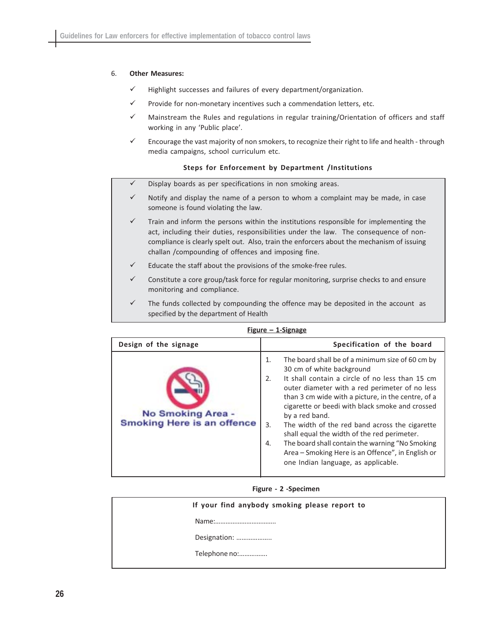#### 6. Other Measures:

- $\checkmark$  Highlight successes and failures of every department/organization.
- $\checkmark$  Provide for non-monetary incentives such a commendation letters, etc.
- Mainstream the Rules and regulations in regular training/Orientation of officers and staff working in any 'Public place'.
- $\checkmark$  Encourage the vast majority of non smokers, to recognize their right to life and health through media campaigns, school curriculum etc.

#### Steps for Enforcement by Department /Institutions

- $\checkmark$  Display boards as per specifications in non smoking areas.
- $\checkmark$  Notify and display the name of a person to whom a complaint may be made, in case someone is found violating the law.
- Train and inform the persons within the institutions responsible for implementing the act, including their duties, responsibilities under the law. The consequence of noncompliance is clearly spelt out. Also, train the enforcers about the mechanism of issuing challan /compounding of offences and imposing fine.
- $\checkmark$  Educate the staff about the provisions of the smoke-free rules.
- $\checkmark$  Constitute a core group/task force for regular monitoring, surprise checks to and ensure monitoring and compliance.
- $\checkmark$  The funds collected by compounding the offence may be deposited in the account as specified by the department of Health

| Design of the signage                                  | Specification of the board                                                                                                                                                                                                                                                                                                                                                                                                                                                                                                                                                                         |
|--------------------------------------------------------|----------------------------------------------------------------------------------------------------------------------------------------------------------------------------------------------------------------------------------------------------------------------------------------------------------------------------------------------------------------------------------------------------------------------------------------------------------------------------------------------------------------------------------------------------------------------------------------------------|
| No Smoking Area -<br><b>Smoking Here is an offence</b> | The board shall be of a minimum size of 60 cm by<br>$\mathbf{1}$ .<br>30 cm of white background<br>It shall contain a circle of no less than 15 cm<br>2.<br>outer diameter with a red perimeter of no less<br>than 3 cm wide with a picture, in the centre, of a<br>cigarette or beedi with black smoke and crossed<br>by a red band.<br>3.<br>The width of the red band across the cigarette<br>shall equal the width of the red perimeter.<br>The board shall contain the warning "No Smoking"<br>4.<br>Area – Smoking Here is an Offence", in English or<br>one Indian language, as applicable. |



#### Figure - 2 -Specimen

| If your find anybody smoking please report to |               |  |
|-----------------------------------------------|---------------|--|
|                                               |               |  |
|                                               | Designation:  |  |
|                                               | Telephone no: |  |
|                                               |               |  |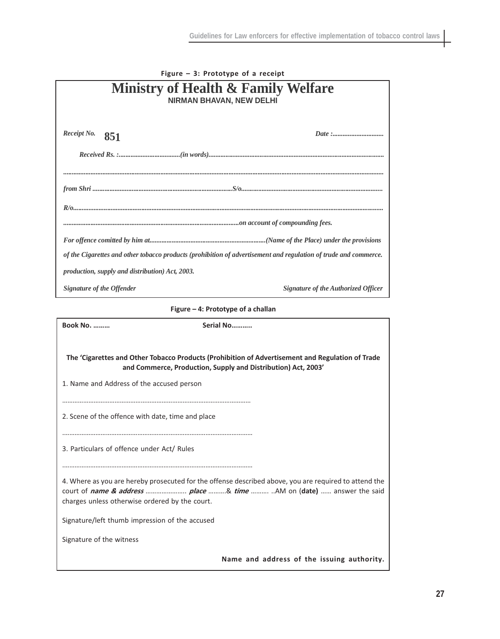| Figure $-3$ : Prototype of a receipt                                                                                                                              |                                            |  |  |
|-------------------------------------------------------------------------------------------------------------------------------------------------------------------|--------------------------------------------|--|--|
| <b>Ministry of Health &amp; Family Welfare</b><br><b>NIRMAN BHAVAN, NEW DELHI</b>                                                                                 |                                            |  |  |
| Receipt No.<br>851                                                                                                                                                |                                            |  |  |
|                                                                                                                                                                   |                                            |  |  |
|                                                                                                                                                                   |                                            |  |  |
|                                                                                                                                                                   |                                            |  |  |
|                                                                                                                                                                   |                                            |  |  |
| of the Cigarettes and other tobacco products (prohibition of advertisement and regulation of trude and commerce.                                                  |                                            |  |  |
| production, supply and distribution) Act, 2003.                                                                                                                   |                                            |  |  |
| <b>Signature of the Offender</b>                                                                                                                                  | <b>Signature of the Authorized Officer</b> |  |  |
| Figure - 4: Prototype of a challan                                                                                                                                |                                            |  |  |
| <b>Book No. </b><br>Serial No                                                                                                                                     |                                            |  |  |
| The 'Cigarettes and Other Tobacco Products (Prohibition of Advertisement and Regulation of Trade<br>and Commerce, Production, Supply and Distribution) Act, 2003' |                                            |  |  |
| 1. Name and Address of the accused person                                                                                                                         |                                            |  |  |
| 2. Scene of the offence with date, time and place                                                                                                                 |                                            |  |  |
| 3. Particulars of offence under Act/ Rules                                                                                                                        |                                            |  |  |
| 4. Where as you are hereby prosecuted for the offense described above, you are required to attend the<br>charges unless otherwise ordered by the court.           |                                            |  |  |
| Signature/left thumb impression of the accused                                                                                                                    |                                            |  |  |
| Signature of the witness                                                                                                                                          |                                            |  |  |

Name and address of the issuing authority.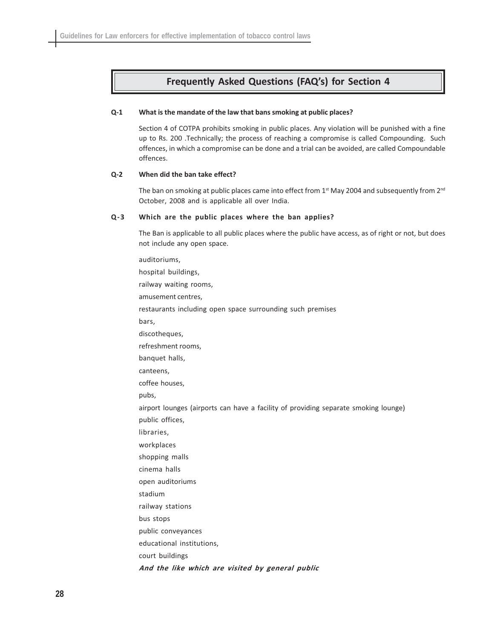## Frequently Asked Questions (FAQ's) for Section 4

#### Q-1 What is the mandate of the law that bans smoking at public places?

Section 4 of COTPA prohibits smoking in public places. Any violation will be punished with a fine up to Rs. 200 .Technically; the process of reaching a compromise is called Compounding. Such offences, in which a compromise can be done and a trial can be avoided, are called Compoundable offences.

#### Q-2 When did the ban take effect?

The ban on smoking at public places came into effect from  $1<sup>st</sup>$  May 2004 and subsequently from  $2<sup>nd</sup>$ October, 2008 and is applicable all over India.

#### Q-3 Which are the public places where the ban applies?

The Ban is applicable to all public places where the public have access, as of right or not, but does not include any open space.

auditoriums, hospital buildings, railway waiting rooms, amusement centres, restaurants including open space surrounding such premises bars, discotheques, refreshment rooms, banquet halls, canteens, coffee houses, pubs, airport lounges (airports can have a facility of providing separate smoking lounge) public offices, libraries, workplaces shopping malls cinema halls open auditoriums stadium railway stations bus stops public conveyances educational institutions, court buildings And the like which are visited by general public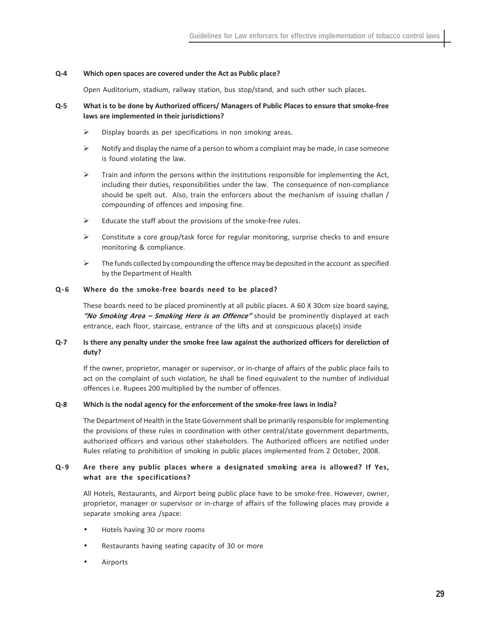#### Q-4 Which open spaces are covered under the Act as Public place?

Open Auditorium, stadium, railway station, bus stop/stand, and such other such places.

#### Q-5 What is to be done by Authorized officers/ Managers of Public Places to ensure that smoke-free laws are implemented in their jurisdictions?

- $\triangleright$  Display boards as per specifications in non smoking areas.
- $\triangleright$  Notify and display the name of a person to whom a complaint may be made, in case someone is found violating the law.
- $\triangleright$  Train and inform the persons within the institutions responsible for implementing the Act, including their duties, responsibilities under the law. The consequence of non-compliance should be spelt out. Also, train the enforcers about the mechanism of issuing challan / compounding of offences and imposing fine.
- $\triangleright$  Educate the staff about the provisions of the smoke-free rules.
- $\triangleright$  Constitute a core group/task force for regular monitoring, surprise checks to and ensure monitoring & compliance.
- $\triangleright$  The funds collected by compounding the offence may be deposited in the account as specified by the Department of Health

#### Q-6 Where do the smoke-free boards need to be placed?

These boards need to be placed prominently at all public places. A 60 X 30cm size board saying, "No Smoking Area - Smoking Here is an Offence" should be prominently displayed at each entrance, each floor, staircase, entrance of the lifts and at conspicuous place(s) inside

#### Q-7 Is there any penalty under the smoke free law against the authorized officers for dereliction of duty?

If the owner, proprietor, manager or supervisor, or in-charge of affairs of the public place fails to act on the complaint of such violation, he shall be fined equivalent to the number of individual offences i.e. Rupees 200 multiplied by the number of offences.

#### Q-8 Which is the nodal agency for the enforcement of the smoke-free laws in India?

The Department of Health in the State Government shall be primarily responsible for implementing the provisions of these rules in coordination with other central/state government departments, authorized officers and various other stakeholders. The Authorized officers are notified under Rules relating to prohibition of smoking in public places implemented from 2 October, 2008.

#### Q-9 Are there any public places where a designated smoking area is allowed? If Yes, what are the specifications?

All Hotels, Restaurants, and Airport being public place have to be smoke-free. However, owner, proprietor, manager or supervisor or in-charge of affairs of the following places may provide a separate smoking area /space:

- Hotels having 30 or more rooms
- Restaurants having seating capacity of 30 or more
- **Airports**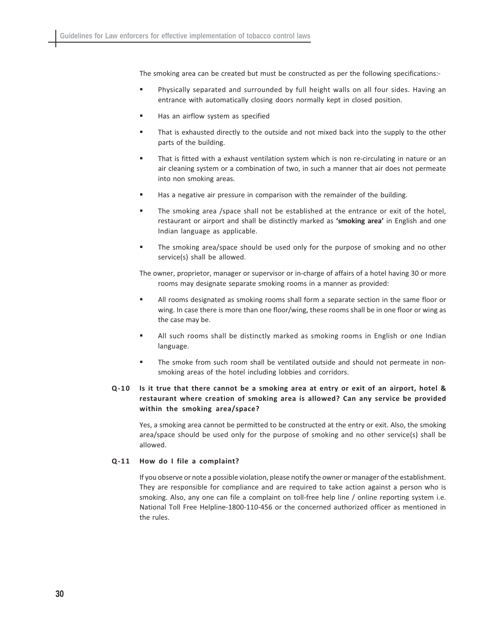The smoking area can be created but must be constructed as per the following specifications:-

- Physically separated and surrounded by full height walls on all four sides. Having an entrance with automatically closing doors normally kept in closed position.
- Has an airflow system as specified
- That is exhausted directly to the outside and not mixed back into the supply to the other parts of the building.
- **That is fitted with a exhaust ventilation system which is non re-circulating in nature or an** air cleaning system or a combination of two, in such a manner that air does not permeate into non smoking areas.
- **Has a negative air pressure in comparison with the remainder of the building.**
- **The smoking area /space shall not be established at the entrance or exit of the hotel,** restaurant or airport and shall be distinctly marked as 'smoking area' in English and one Indian language as applicable.
- The smoking area/space should be used only for the purpose of smoking and no other service(s) shall be allowed.

The owner, proprietor, manager or supervisor or in-charge of affairs of a hotel having 30 or more rooms may designate separate smoking rooms in a manner as provided:

- All rooms designated as smoking rooms shall form a separate section in the same floor or wing. In case there is more than one floor/wing, these rooms shall be in one floor or wing as the case may be.
- All such rooms shall be distinctly marked as smoking rooms in English or one Indian language.
- The smoke from such room shall be ventilated outside and should not permeate in nonsmoking areas of the hotel including lobbies and corridors.

#### Q-10 Is it true that there cannot be a smoking area at entry or exit of an airport, hotel & restaurant where creation of smoking area is allowed? Can any service be provided within the smoking area/space?

Yes, a smoking area cannot be permitted to be constructed at the entry or exit. Also, the smoking area/space should be used only for the purpose of smoking and no other service(s) shall be allowed.

#### Q-11 How do I file a complaint?

If you observe or note a possible violation, please notify the owner or manager of the establishment. They are responsible for compliance and are required to take action against a person who is smoking. Also, any one can file a complaint on toll-free help line / online reporting system i.e. National Toll Free Helpline-1800-110-456 or the concerned authorized officer as mentioned in the rules.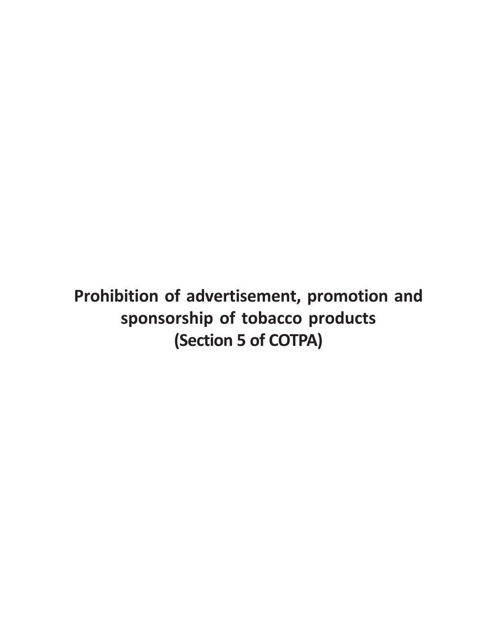Prohibition of advertisement, promotion and sponsorship of tobacco products (Section 5 of COTPA)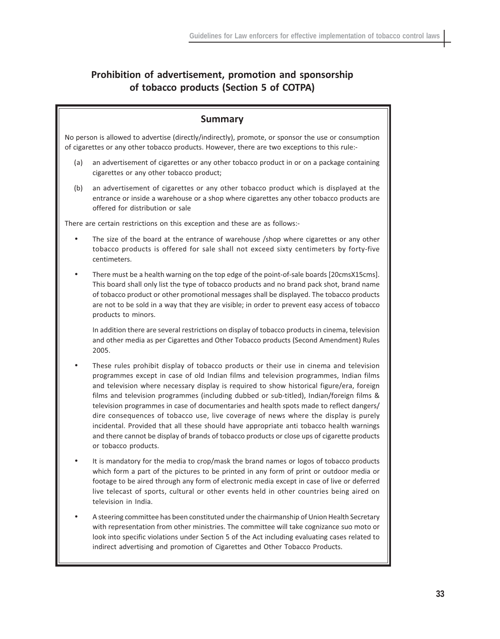## Prohibition of advertisement, promotion and sponsorship of tobacco products (Section 5 of COTPA)

### Summary

No person is allowed to advertise (directly/indirectly), promote, or sponsor the use or consumption of cigarettes or any other tobacco products. However, there are two exceptions to this rule:-

- (a) an advertisement of cigarettes or any other tobacco product in or on a package containing cigarettes or any other tobacco product;
- (b) an advertisement of cigarettes or any other tobacco product which is displayed at the entrance or inside a warehouse or a shop where cigarettes any other tobacco products are offered for distribution or sale

There are certain restrictions on this exception and these are as follows:-

- The size of the board at the entrance of warehouse /shop where cigarettes or any other tobacco products is offered for sale shall not exceed sixty centimeters by forty-five centimeters.
- There must be a health warning on the top edge of the point-of-sale boards [20cmsX15cms]. This board shall only list the type of tobacco products and no brand pack shot, brand name of tobacco product or other promotional messages shall be displayed. The tobacco products are not to be sold in a way that they are visible; in order to prevent easy access of tobacco products to minors.

In addition there are several restrictions on display of tobacco products in cinema, television and other media as per Cigarettes and Other Tobacco products (Second Amendment) Rules 2005.

- These rules prohibit display of tobacco products or their use in cinema and television programmes except in case of old Indian films and television programmes, Indian films and television where necessary display is required to show historical figure/era, foreign films and television programmes (including dubbed or sub-titled), Indian/foreign films & television programmes in case of documentaries and health spots made to reflect dangers/ dire consequences of tobacco use, live coverage of news where the display is purely incidental. Provided that all these should have appropriate anti tobacco health warnings and there cannot be display of brands of tobacco products or close ups of cigarette products or tobacco products.
- It is mandatory for the media to crop/mask the brand names or logos of tobacco products which form a part of the pictures to be printed in any form of print or outdoor media or footage to be aired through any form of electronic media except in case of live or deferred live telecast of sports, cultural or other events held in other countries being aired on television in India.
- A steering committee has been constituted under the chairmanship of Union Health Secretary with representation from other ministries. The committee will take cognizance suo moto or look into specific violations under Section 5 of the Act including evaluating cases related to indirect advertising and promotion of Cigarettes and Other Tobacco Products.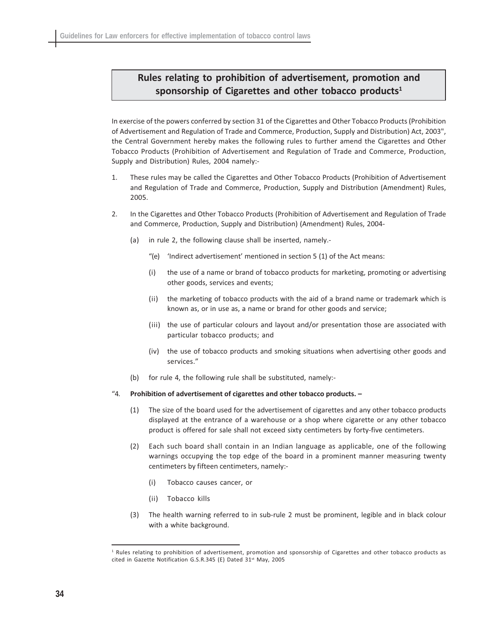## Rules relating to prohibition of advertisement, promotion and sponsorship of Cigarettes and other tobacco products $1$

In exercise of the powers conferred by section 31 of the Cigarettes and Other Tobacco Products (Prohibition of Advertisement and Regulation of Trade and Commerce, Production, Supply and Distribution) Act, 2003", the Central Government hereby makes the following rules to further amend the Cigarettes and Other Tobacco Products (Prohibition of Advertisement and Regulation of Trade and Commerce, Production, Supply and Distribution) Rules, 2004 namely:-

- 1. These rules may be called the Cigarettes and Other Tobacco Products (Prohibition of Advertisement and Regulation of Trade and Commerce, Production, Supply and Distribution (Amendment) Rules, 2005.
- 2. In the Cigarettes and Other Tobacco Products (Prohibition of Advertisement and Regulation of Trade and Commerce, Production, Supply and Distribution) (Amendment) Rules, 2004-
	- (a) in rule 2, the following clause shall be inserted, namely.-
		- $''(e)$  'Indirect advertisement' mentioned in section 5 (1) of the Act means:
		- (i) the use of a name or brand of tobacco products for marketing, promoting or advertising other goods, services and events;
		- (ii) the marketing of tobacco products with the aid of a brand name or trademark which is known as, or in use as, a name or brand for other goods and service;
		- (iii) the use of particular colours and layout and/or presentation those are associated with particular tobacco products; and
		- (iv) the use of tobacco products and smoking situations when advertising other goods and services."
	- (b) for rule 4, the following rule shall be substituted, namely:-

#### "4. Prohibition of advertisement of cigarettes and other tobacco products. –

- (1) The size of the board used for the advertisement of cigarettes and any other tobacco products displayed at the entrance of a warehouse or a shop where cigarette or any other tobacco product is offered for sale shall not exceed sixty centimeters by forty-five centimeters.
- (2) Each such board shall contain in an Indian language as applicable, one of the following warnings occupying the top edge of the board in a prominent manner measuring twenty centimeters by fifteen centimeters, namely:-
	- (i) Tobacco causes cancer, or
	- (ii) Tobacco kills
- (3) The health warning referred to in sub-rule 2 must be prominent, legible and in black colour with a white background.

<sup>&</sup>lt;sup>1</sup> Rules relating to prohibition of advertisement, promotion and sponsorship of Cigarettes and other tobacco products as cited in Gazette Notification G.S.R.345 (E) Dated 31<sup>st</sup> May, 2005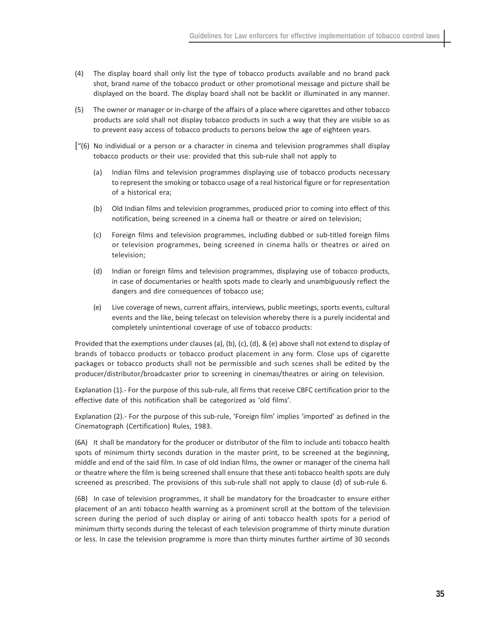- (4) The display board shall only list the type of tobacco products available and no brand pack shot, brand name of the tobacco product or other promotional message and picture shall be displayed on the board. The display board shall not be backlit or illuminated in any manner.
- (5) The owner or manager or in-charge of the affairs of a place where cigarettes and other tobacco products are sold shall not display tobacco products in such a way that they are visible so as to prevent easy access of tobacco products to persons below the age of eighteen years.
- ["(6) No individual or a person or a character in cinema and television programmes shall display tobacco products or their use: provided that this sub-rule shall not apply to
	- (a) Indian films and television programmes displaying use of tobacco products necessary to represent the smoking or tobacco usage of a real historical figure or for representation of a historical era;
	- (b) Old Indian films and television programmes, produced prior to coming into effect of this notification, being screened in a cinema hall or theatre or aired on television;
	- (c) Foreign films and television programmes, including dubbed or sub-titled foreign films or television programmes, being screened in cinema halls or theatres or aired on television;
	- (d) Indian or foreign films and television programmes, displaying use of tobacco products, in case of documentaries or health spots made to clearly and unambiguously reflect the dangers and dire consequences of tobacco use;
	- (e) Live coverage of news, current affairs, interviews, public meetings, sports events, cultural events and the like, being telecast on television whereby there is a purely incidental and completely unintentional coverage of use of tobacco products:

Provided that the exemptions under clauses (a), (b), (c), (d), & (e) above shall not extend to display of brands of tobacco products or tobacco product placement in any form. Close ups of cigarette packages or tobacco products shall not be permissible and such scenes shall be edited by the producer/distributor/broadcaster prior to screening in cinemas/theatres or airing on television.

Explanation (1).- For the purpose of this sub-rule, all firms that receive CBFC certification prior to the effective date of this notification shall be categorized as 'old films'.

Explanation (2).- For the purpose of this sub-rule, 'Foreign film' implies 'imported' as defined in the Cinematograph (Certification) Rules, 1983.

(6A) It shall be mandatory for the producer or distributor of the film to include anti tobacco health spots of minimum thirty seconds duration in the master print, to be screened at the beginning, middle and end of the said film. In case of old Indian films, the owner or manager of the cinema hall or theatre where the film is being screened shall ensure that these anti tobacco health spots are duly screened as prescribed. The provisions of this sub-rule shall not apply to clause (d) of sub-rule 6.

(6B) In case of television programmes, it shall be mandatory for the broadcaster to ensure either placement of an anti tobacco health warning as a prominent scroll at the bottom of the television screen during the period of such display or airing of anti tobacco health spots for a period of minimum thirty seconds during the telecast of each television programme of thirty minute duration or less. In case the television programme is more than thirty minutes further airtime of 30 seconds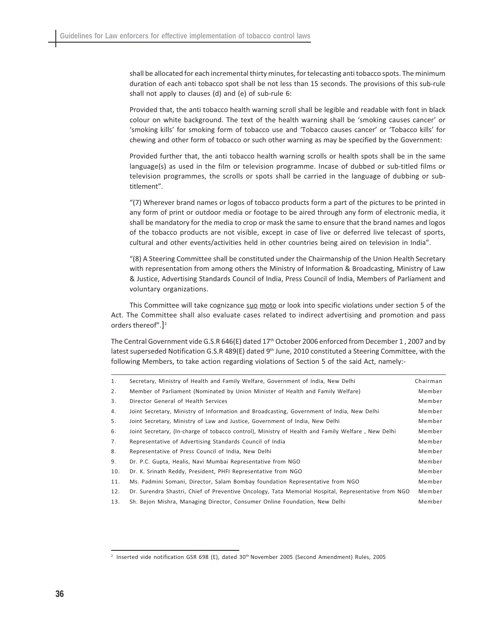shall be allocated for each incremental thirty minutes, for telecasting anti tobacco spots. The minimum duration of each anti tobacco spot shall be not less than 15 seconds. The provisions of this sub-rule shall not apply to clauses (d) and (e) of sub-rule 6:

Provided that, the anti tobacco health warning scroll shall be legible and readable with font in black colour on white background. The text of the health warning shall be 'smoking causes cancer' or 'smoking kills' for smoking form of tobacco use and 'Tobacco causes cancer' or 'Tobacco kills' for chewing and other form of tobacco or such other warning as may be specified by the Government:

Provided further that, the anti tobacco health warning scrolls or health spots shall be in the same language(s) as used in the film or television programme. Incase of dubbed or sub-titled films or television programmes, the scrolls or spots shall be carried in the language of dubbing or subtitlement".

"(7) Wherever brand names or logos of tobacco products form a part of the pictures to be printed in any form of print or outdoor media or footage to be aired through any form of electronic media, it shall be mandatory for the media to crop or mask the same to ensure that the brand names and logos of the tobacco products are not visible, except in case of live or deferred live telecast of sports, cultural and other events/activities held in other countries being aired on television in India".

"(8) A Steering Committee shall be constituted under the Chairmanship of the Union Health Secretary with representation from among others the Ministry of Information & Broadcasting, Ministry of Law & Justice, Advertising Standards Council of India, Press Council of India, Members of Parliament and voluntary organizations.

This Committee will take cognizance suo moto or look into specific violations under section 5 of the Act. The Committee shall also evaluate cases related to indirect advertising and promotion and pass orders thereof".]<sup>2</sup>

The Central Government vide G.S.R 646(E) dated 17<sup>th</sup> October 2006 enforced from December 1, 2007 and by latest superseded Notification G.S.R 489(E) dated 9th June, 2010 constituted a Steering Committee, with the following Members, to take action regarding violations of Section 5 of the said Act, namely:-

| 1.  | Secretary, Ministry of Health and Family Welfare, Government of India, New Delhi                    | Chairman |
|-----|-----------------------------------------------------------------------------------------------------|----------|
| 2.  | Member of Parliament (Nominated by Union Minister of Health and Family Welfare)                     | Member   |
| 3.  | Director General of Health Services                                                                 | Member   |
| 4.  | Joint Secretary, Ministry of Information and Broadcasting, Government of India, New Delhi           | Member   |
| 5.  | Joint Secretary, Ministry of Law and Justice, Government of India, New Delhi                        | Member   |
| 6.  | Joint Secretary, (In-charge of tobacco control), Ministry of Health and Family Welfare, New Delhi   | Member   |
| 7.  | Representative of Advertising Standards Council of India                                            | Member   |
| 8.  | Representative of Press Council of India, New Delhi                                                 | Member   |
| 9.  | Dr. P.C. Gupta, Healis, Navi Mumbai Representative from NGO                                         | Member   |
| 10. | Dr. K. Srinath Reddy, President, PHFI Representative from NGO                                       | Member   |
| 11. | Ms. Padmini Somani, Director, Salam Bombay foundation Representative from NGO                       | Member   |
| 12. | Dr. Surendra Shastri, Chief of Preventive Oncology, Tata Memorial Hospital, Representative from NGO | Member   |
| 13. | Sh. Bejon Mishra, Managing Director, Consumer Online Foundation, New Delhi                          | Member   |

<sup>&</sup>lt;sup>2</sup> Inserted vide notification GSR 698 (E), dated 30<sup>th</sup> November 2005 (Second Amendment) Rules, 2005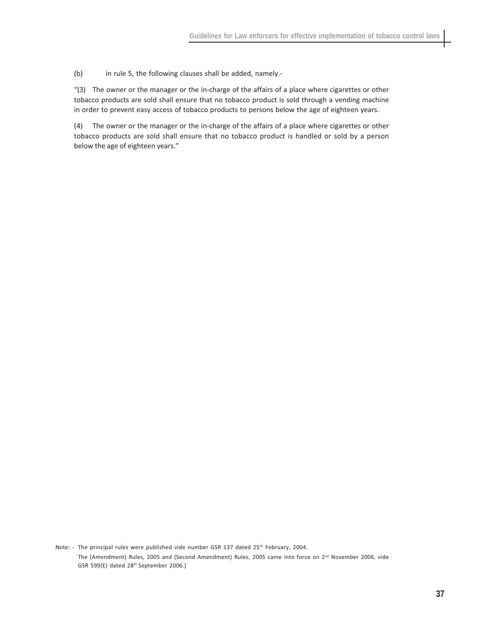(b) in rule 5, the following clauses shall be added, namely.-

"(3) The owner or the manager or the in-charge of the affairs of a place where cigarettes or other tobacco products are sold shall ensure that no tobacco product is sold through a vending machine in order to prevent easy access of tobacco products to persons below the age of eighteen years.

(4) The owner or the manager or the in-charge of the affairs of a place where cigarettes or other tobacco products are sold shall ensure that no tobacco product is handled or sold by a person below the age of eighteen years."

Note: - The principal rules were published vide number GSR 137 dated 25<sup>th</sup> February, 2004. The (Amendment) Rules, 2005 and (Second Amendment) Rules, 2005 came into force on 2<sup>nd</sup> November 2006, vide GSR 599(E) dated 28th September 2006.)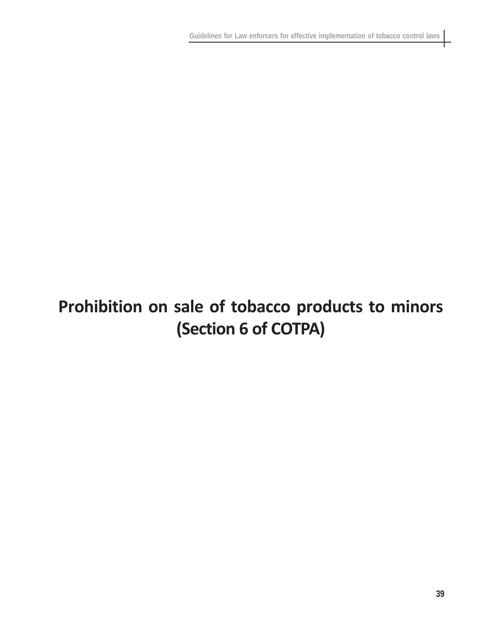**Guidelines for Law enforcers for effective implementation of tobacco control laws**

# Prohibition on sale of tobacco products to minors (Section 6 of COTPA)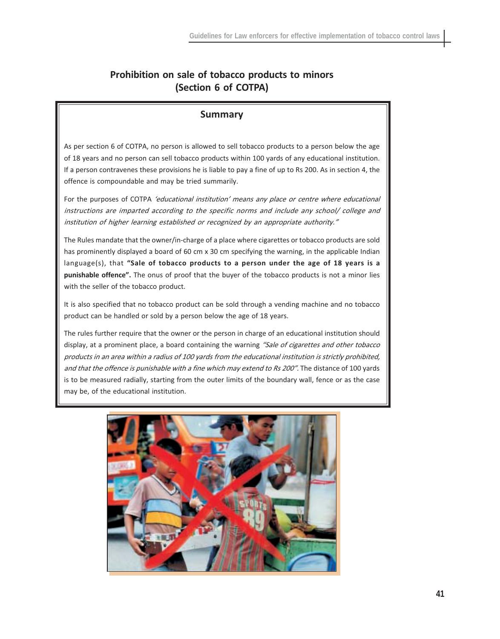## Prohibition on sale of tobacco products to minors (Section 6 of COTPA)

## Summary

As per section 6 of COTPA, no person is allowed to sell tobacco products to a person below the age of 18 years and no person can sell tobacco products within 100 yards of any educational institution. If a person contravenes these provisions he is liable to pay a fine of up to Rs 200. As in section 4, the offence is compoundable and may be tried summarily.

For the purposes of COTPA 'educational institution' means any place or centre where educational instructions are imparted according to the specific norms and include any school/ college and institution of higher learning established or recognized by an appropriate authority."

The Rules mandate that the owner/in-charge of a place where cigarettes or tobacco products are sold has prominently displayed a board of 60 cm x 30 cm specifying the warning, in the applicable Indian language(s), that "Sale of tobacco products to a person under the age of 18 years is a punishable offence". The onus of proof that the buyer of the tobacco products is not a minor lies with the seller of the tobacco product.

It is also specified that no tobacco product can be sold through a vending machine and no tobacco product can be handled or sold by a person below the age of 18 years.

The rules further require that the owner or the person in charge of an educational institution should display, at a prominent place, a board containing the warning "Sale of cigarettes and other tobacco products in an area within a radius of 100 yards from the educational institution is strictly prohibited, and that the offence is punishable with a fine which may extend to Rs 200". The distance of 100 yards is to be measured radially, starting from the outer limits of the boundary wall, fence or as the case may be, of the educational institution.

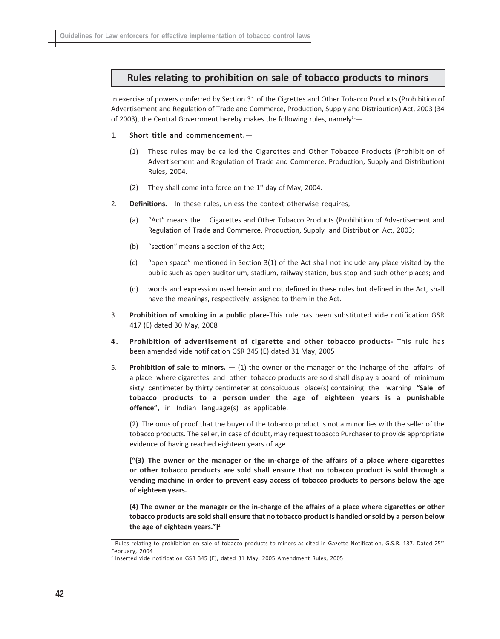#### Rules relating to prohibition on sale of tobacco products to minors

In exercise of powers conferred by Section 31 of the Cigrettes and Other Tobacco Products (Prohibition of Advertisement and Regulation of Trade and Commerce, Production, Supply and Distribution) Act, 2003 (34 of 2003), the Central Government hereby makes the following rules, namely<sup>1</sup>: $-$ 

- 1. Short title and commencement.—
	- (1) These rules may be called the Cigarettes and Other Tobacco Products (Prohibition of Advertisement and Regulation of Trade and Commerce, Production, Supply and Distribution) Rules, 2004.
	- (2) They shall come into force on the  $1<sup>st</sup>$  day of May, 2004.
- 2. **Definitions.**—In these rules, unless the context otherwise requires,—
	- (a) "Act" means the Cigarettes and Other Tobacco Products (Prohibition of Advertisement and Regulation of Trade and Commerce, Production, Supply and Distribution Act, 2003;
	- (b) "section" means a section of the Act;
	- (c) "open space" mentioned in Section 3(1) of the Act shall not include any place visited by the public such as open auditorium, stadium, railway station, bus stop and such other places; and
	- (d) words and expression used herein and not defined in these rules but defined in the Act, shall have the meanings, respectively, assigned to them in the Act.
- 3. Prohibition of smoking in a public place-This rule has been substituted vide notification GSR 417 (E) dated 30 May, 2008
- 4. Prohibition of advertisement of cigarette and other tobacco products- This rule has been amended vide notification GSR 345 (E) dated 31 May, 2005
- 5. Prohibition of sale to minors.  $-$  (1) the owner or the manager or the incharge of the affairs of a place where cigarettes and other tobacco products are sold shall display a board of minimum sixty centimeter by thirty centimeter at conspicuous place(s) containing the warning "Sale of tobacco products to a person under the age of eighteen years is a punishable offence", in Indian language(s) as applicable.

(2) The onus of proof that the buyer of the tobacco product is not a minor lies with the seller of the tobacco products. The seller, in case of doubt, may request tobacco Purchaser to provide appropriate evidence of having reached eighteen years of age.

["(3) The owner or the manager or the in-charge of the affairs of a place where cigarettes or other tobacco products are sold shall ensure that no tobacco product is sold through a vending machine in order to prevent easy access of tobacco products to persons below the age of eighteen years.

(4) The owner or the manager or the in-charge of the affairs of a place where cigarettes or other tobacco products are sold shall ensure that no tobacco product is handled or sold by a person below the age of eighteen years."]<sup>2</sup>

 $^{\rm 1}$  Rules relating to prohibition on sale of tobacco products to minors as cited in Gazette Notification, G.S.R. 137. Dated 25<sup>th</sup> February, 2004

<sup>2</sup> Inserted vide notification GSR 345 (E), dated 31 May, 2005 Amendment Rules, 2005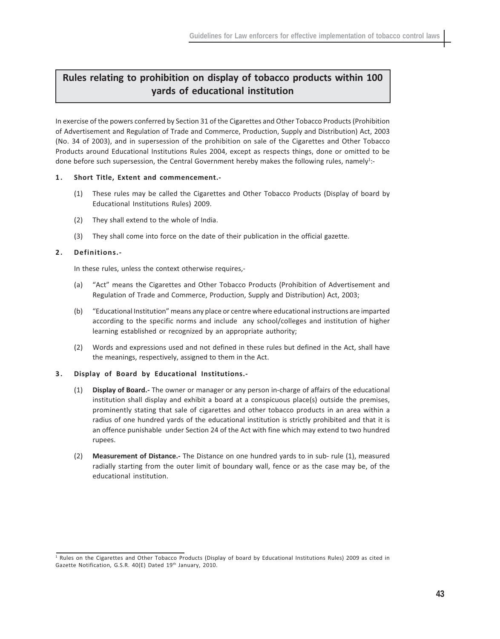## Rules relating to prohibition on display of tobacco products within 100 yards of educational institution

In exercise of the powers conferred by Section 31 of the Cigarettes and Other Tobacco Products (Prohibition of Advertisement and Regulation of Trade and Commerce, Production, Supply and Distribution) Act, 2003 (No. 34 of 2003), and in supersession of the prohibition on sale of the Cigarettes and Other Tobacco Products around Educational Institutions Rules 2004, except as respects things, done or omitted to be done before such supersession, the Central Government hereby makes the following rules, namely<sup>1</sup>:-

#### 1. Short Title, Extent and commencement.-

- (1) These rules may be called the Cigarettes and Other Tobacco Products (Display of board by Educational Institutions Rules) 2009.
- (2) They shall extend to the whole of India.
- (3) They shall come into force on the date of their publication in the official gazette.

#### 2. Definitions.-

In these rules, unless the context otherwise requires,-

- (a) "Act" means the Cigarettes and Other Tobacco Products (Prohibition of Advertisement and Regulation of Trade and Commerce, Production, Supply and Distribution) Act, 2003;
- (b) "Educational Institution" means any place or centre where educational instructions are imparted according to the specific norms and include any school/colleges and institution of higher learning established or recognized by an appropriate authority;
- (2) Words and expressions used and not defined in these rules but defined in the Act, shall have the meanings, respectively, assigned to them in the Act.
- 3. Display of Board by Educational Institutions.-
	- (1) Display of Board.- The owner or manager or any person in-charge of affairs of the educational institution shall display and exhibit a board at a conspicuous place(s) outside the premises, prominently stating that sale of cigarettes and other tobacco products in an area within a radius of one hundred yards of the educational institution is strictly prohibited and that it is an offence punishable under Section 24 of the Act with fine which may extend to two hundred rupees.
	- (2) Measurement of Distance.- The Distance on one hundred yards to in sub- rule (1), measured radially starting from the outer limit of boundary wall, fence or as the case may be, of the educational institution.

<sup>&</sup>lt;sup>1</sup> Rules on the Cigarettes and Other Tobacco Products (Display of board by Educational Institutions Rules) 2009 as cited in Gazette Notification, G.S.R. 40(E) Dated 19th January, 2010.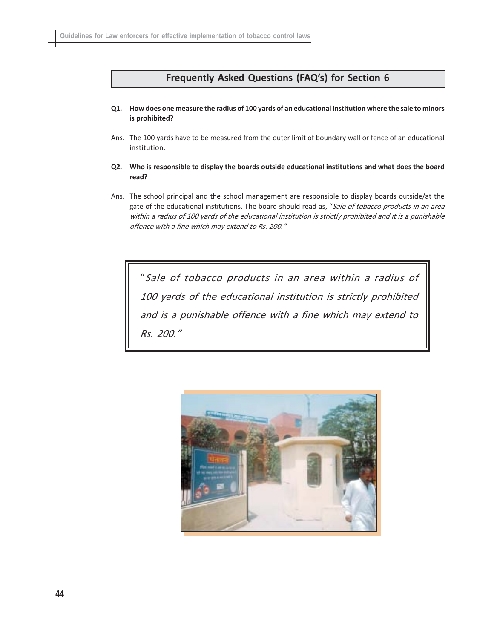## Frequently Asked Questions (FAQ's) for Section 6

- Q1. How does one measure the radius of 100 yards of an educational institution where the sale to minors is prohibited?
- Ans. The 100 yards have to be measured from the outer limit of boundary wall or fence of an educational institution.
- Q2. Who is responsible to display the boards outside educational institutions and what does the board read?
- Ans. The school principal and the school management are responsible to display boards outside/at the gate of the educational institutions. The board should read as, "Sale of tobacco products in an area within a radius of 100 yards of the educational institution is strictly prohibited and it is a punishable offence with a fine which may extend to Rs. 200."

*"*Sale of tobacco products in an area within a radius of 100 yards of the educational institution is strictly prohibited and is a punishable offence with a fine which may extend to Rs. 200."

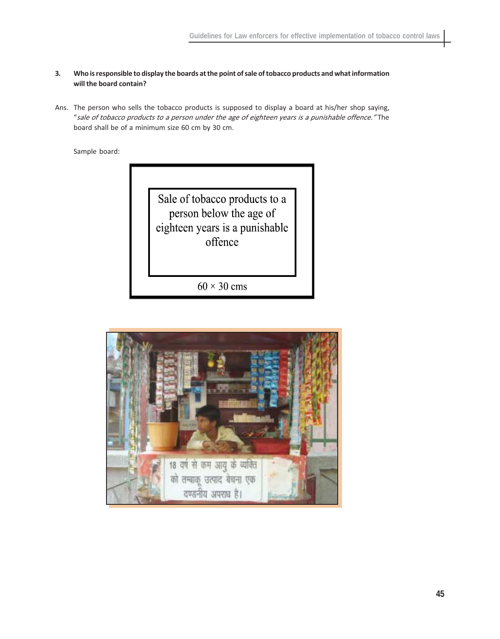- 3. Who is responsible to display the boards at the point of sale of tobacco products and what information will the board contain?
- Ans. The person who sells the tobacco products is supposed to display a board at his/her shop saying, "sale of tobacco products to a person under the age of eighteen years is a punishable offence." The board shall be of a minimum size 60 cm by 30 cm.

Sample board:



 $60 \times 30$  cms

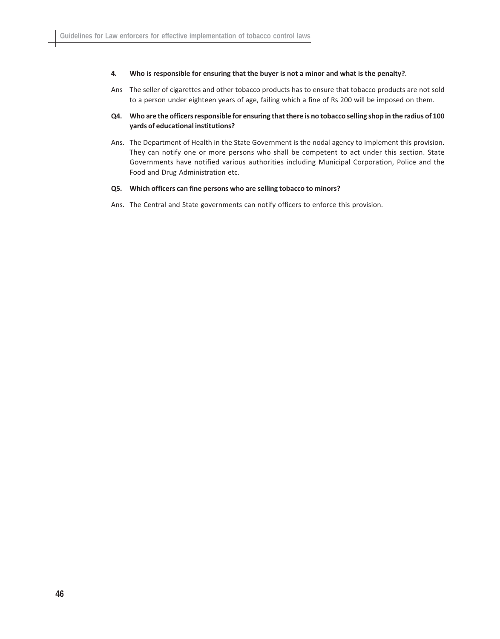#### 4. Who is responsible for ensuring that the buyer is not a minor and what is the penalty?.

Ans The seller of cigarettes and other tobacco products has to ensure that tobacco products are not sold to a person under eighteen years of age, failing which a fine of Rs 200 will be imposed on them.

#### Q4. Who are the officers responsible for ensuring that there is no tobacco selling shop in the radius of 100 yards of educational institutions?

Ans. The Department of Health in the State Government is the nodal agency to implement this provision. They can notify one or more persons who shall be competent to act under this section. State Governments have notified various authorities including Municipal Corporation, Police and the Food and Drug Administration etc.

#### Q5. Which officers can fine persons who are selling tobacco to minors?

Ans. The Central and State governments can notify officers to enforce this provision.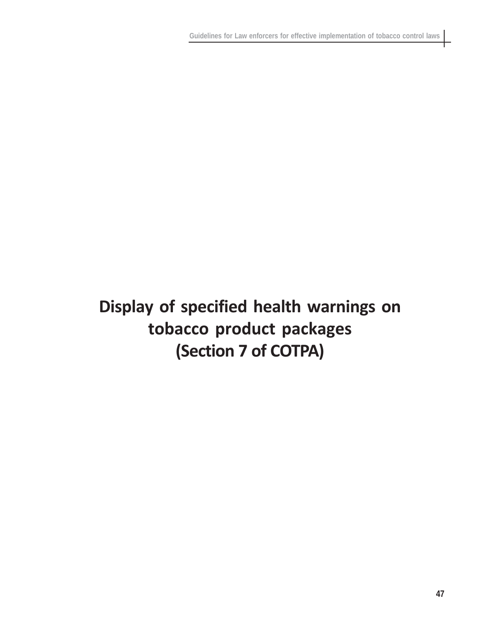# Display of specified health warnings on tobacco product packages (Section 7 of COTPA)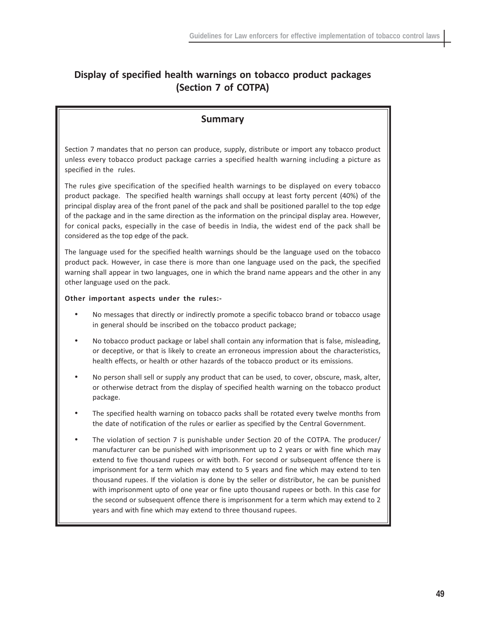## Display of specified health warnings on tobacco product packages (Section 7 of COTPA)

## Summary

Section 7 mandates that no person can produce, supply, distribute or import any tobacco product unless every tobacco product package carries a specified health warning including a picture as specified in the rules.

The rules give specification of the specified health warnings to be displayed on every tobacco product package. The specified health warnings shall occupy at least forty percent (40%) of the principal display area of the front panel of the pack and shall be positioned parallel to the top edge of the package and in the same direction as the information on the principal display area. However, for conical packs, especially in the case of beedis in India, the widest end of the pack shall be considered as the top edge of the pack.

The language used for the specified health warnings should be the language used on the tobacco product pack. However, in case there is more than one language used on the pack, the specified warning shall appear in two languages, one in which the brand name appears and the other in any other language used on the pack.

#### Other important aspects under the rules:-

- No messages that directly or indirectly promote a specific tobacco brand or tobacco usage in general should be inscribed on the tobacco product package;
- No tobacco product package or label shall contain any information that is false, misleading, or deceptive, or that is likely to create an erroneous impression about the characteristics, health effects, or health or other hazards of the tobacco product or its emissions.
- No person shall sell or supply any product that can be used, to cover, obscure, mask, alter, or otherwise detract from the display of specified health warning on the tobacco product package.
- The specified health warning on tobacco packs shall be rotated every twelve months from the date of notification of the rules or earlier as specified by the Central Government.
- The violation of section 7 is punishable under Section 20 of the COTPA. The producer/ manufacturer can be punished with imprisonment up to 2 years or with fine which may extend to five thousand rupees or with both. For second or subsequent offence there is imprisonment for a term which may extend to 5 years and fine which may extend to ten thousand rupees. If the violation is done by the seller or distributor, he can be punished with imprisonment upto of one year or fine upto thousand rupees or both. In this case for the second or subsequent offence there is imprisonment for a term which may extend to 2 years and with fine which may extend to three thousand rupees.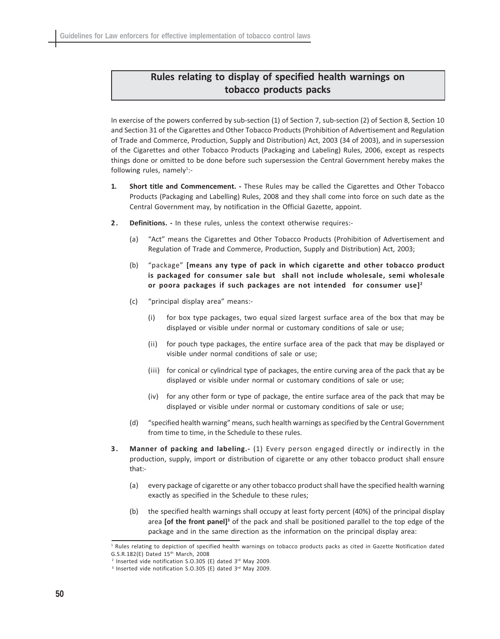## Rules relating to display of specified health warnings on tobacco products packs

In exercise of the powers conferred by sub-section (1) of Section 7, sub-section (2) of Section 8, Section 10 and Section 31 of the Cigarettes and Other Tobacco Products (Prohibition of Advertisement and Regulation of Trade and Commerce, Production, Supply and Distribution) Act, 2003 (34 of 2003), and in supersession of the Cigarettes and other Tobacco Products (Packaging and Labeling) Rules, 2006, except as respects things done or omitted to be done before such supersession the Central Government hereby makes the following rules, namely<sup>1</sup>:-

- 1. Short title and Commencement. These Rules may be called the Cigarettes and Other Tobacco Products (Packaging and Labelling) Rules, 2008 and they shall come into force on such date as the Central Government may, by notification in the Official Gazette, appoint.
- 2. Definitions. In these rules, unless the context otherwise requires:-
	- (a) "Act" means the Cigarettes and Other Tobacco Products (Prohibition of Advertisement and Regulation of Trade and Commerce, Production, Supply and Distribution) Act, 2003;
	- (b) "package" [means any type of pack in which cigarette and other tobacco product is packaged for consumer sale but shall not include wholesale, semi wholesale or poora packages if such packages are not intended for consumer use $]^{2}$
	- (c) "principal display area" means:-
		- (i) for box type packages, two equal sized largest surface area of the box that may be displayed or visible under normal or customary conditions of sale or use;
		- (ii) for pouch type packages, the entire surface area of the pack that may be displayed or visible under normal conditions of sale or use;
		- (iii) for conical or cylindrical type of packages, the entire curving area of the pack that ay be displayed or visible under normal or customary conditions of sale or use;
		- (iv) for any other form or type of package, the entire surface area of the pack that may be displayed or visible under normal or customary conditions of sale or use;
	- (d) "specified health warning" means, such health warnings as specified by the Central Government from time to time, in the Schedule to these rules.
- 3. Manner of packing and labeling.- (1) Every person engaged directly or indirectly in the production, supply, import or distribution of cigarette or any other tobacco product shall ensure that:-
	- (a) every package of cigarette or any other tobacco product shall have the specified health warning exactly as specified in the Schedule to these rules;
	- (b) the specified health warnings shall occupy at least forty percent (40%) of the principal display area [of the front panel]<sup>3</sup> of the pack and shall be positioned parallel to the top edge of the package and in the same direction as the information on the principal display area:

<sup>&</sup>lt;sup>1</sup> Rules relating to depiction of specified health warnings on tobacco products packs as cited in Gazette Notification dated G.S.R.182(E) Dated 15th March, 2008

<sup>&</sup>lt;sup>2</sup> Inserted vide notification S.O.305 (E) dated  $3^{rd}$  May 2009.

<sup>&</sup>lt;sup>3</sup> Inserted vide notification S.O.305 (E) dated 3<sup>rd</sup> May 2009.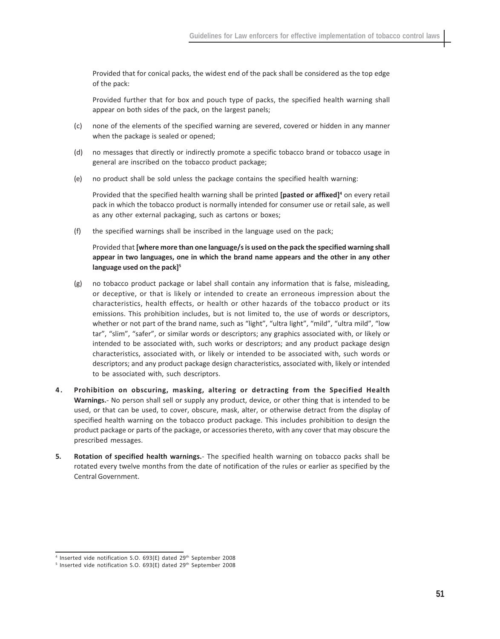Provided that for conical packs, the widest end of the pack shall be considered as the top edge of the pack:

Provided further that for box and pouch type of packs, the specified health warning shall appear on both sides of the pack, on the largest panels;

- (c) none of the elements of the specified warning are severed, covered or hidden in any manner when the package is sealed or opened;
- (d) no messages that directly or indirectly promote a specific tobacco brand or tobacco usage in general are inscribed on the tobacco product package;
- (e) no product shall be sold unless the package contains the specified health warning:

Provided that the specified health warning shall be printed [pasted or affixed]<sup>4</sup> on every retail pack in which the tobacco product is normally intended for consumer use or retail sale, as well as any other external packaging, such as cartons or boxes;

(f) the specified warnings shall be inscribed in the language used on the pack;

Provided that [where more than one language/s is used on the pack the specified warning shall appear in two languages, one in which the brand name appears and the other in any other language used on the pack] $5$ 

- (g) no tobacco product package or label shall contain any information that is false, misleading, or deceptive, or that is likely or intended to create an erroneous impression about the characteristics, health effects, or health or other hazards of the tobacco product or its emissions. This prohibition includes, but is not limited to, the use of words or descriptors, whether or not part of the brand name, such as "light", "ultra light", "mild", "ultra mild", "low tar", "slim", "safer", or similar words or descriptors; any graphics associated with, or likely or intended to be associated with, such works or descriptors; and any product package design characteristics, associated with, or likely or intended to be associated with, such words or descriptors; and any product package design characteristics, associated with, likely or intended to be associated with, such descriptors.
- 4. Prohibition on obscuring, masking, altering or detracting from the Specified Health Warnings.- No person shall sell or supply any product, device, or other thing that is intended to be used, or that can be used, to cover, obscure, mask, alter, or otherwise detract from the display of specified health warning on the tobacco product package. This includes prohibition to design the product package or parts of the package, or accessories thereto, with any cover that may obscure the prescribed messages.
- 5. Rotation of specified health warnings.- The specified health warning on tobacco packs shall be rotated every twelve months from the date of notification of the rules or earlier as specified by the Central Government.

<sup>&</sup>lt;sup>4</sup> Inserted vide notification S.O. 693(E) dated 29<sup>th</sup> September 2008

<sup>&</sup>lt;sup>5</sup> Inserted vide notification S.O. 693(E) dated 29<sup>th</sup> September 2008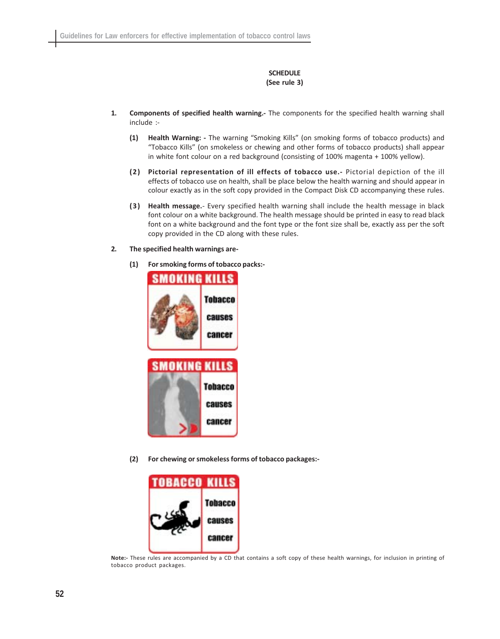**SCHEDULE** (See rule 3)

- 1. Components of specified health warning.- The components for the specified health warning shall include :-
	- (1) Health Warning: The warning "Smoking Kills" (on smoking forms of tobacco products) and "Tobacco Kills" (on smokeless or chewing and other forms of tobacco products) shall appear in white font colour on a red background (consisting of 100% magenta + 100% yellow).
	- (2) Pictorial representation of ill effects of tobacco use.- Pictorial depiction of the ill effects of tobacco use on health, shall be place below the health warning and should appear in colour exactly as in the soft copy provided in the Compact Disk CD accompanying these rules.
	- (3) Health message.- Every specified health warning shall include the health message in black font colour on a white background. The health message should be printed in easy to read black font on a white background and the font type or the font size shall be, exactly ass per the soft copy provided in the CD along with these rules.
- 2. The specified health warnings are-
	- (1) For smoking forms of tobacco packs:-



(2) For chewing or smokeless forms of tobacco packages:-



Note:- These rules are accompanied by a CD that contains a soft copy of these health warnings, for inclusion in printing of tobacco product packages.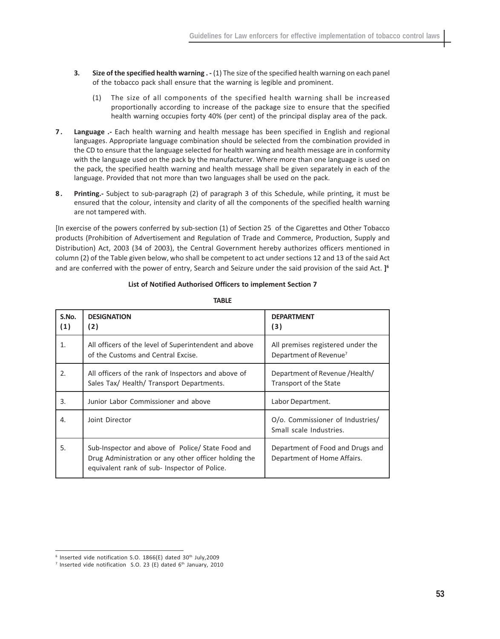- 3. Size of the specified health warning . (1) The size of the specified health warning on each panel of the tobacco pack shall ensure that the warning is legible and prominent.
	- (1) The size of all components of the specified health warning shall be increased proportionally according to increase of the package size to ensure that the specified health warning occupies forty 40% (per cent) of the principal display area of the pack.
- 7. Language .- Each health warning and health message has been specified in English and regional languages. Appropriate language combination should be selected from the combination provided in the CD to ensure that the language selected for health warning and health message are in conformity with the language used on the pack by the manufacturer. Where more than one language is used on the pack, the specified health warning and health message shall be given separately in each of the language. Provided that not more than two languages shall be used on the pack.
- 8 . Printing.- Subject to sub-paragraph (2) of paragraph 3 of this Schedule, while printing, it must be ensured that the colour, intensity and clarity of all the components of the specified health warning are not tampered with.

[In exercise of the powers conferred by sub-section (1) of Section 25 of the Cigarettes and Other Tobacco products (Prohibition of Advertisement and Regulation of Trade and Commerce, Production, Supply and Distribution) Act, 2003 (34 of 2003), the Central Government hereby authorizes officers mentioned in column (2) of the Table given below, who shall be competent to act under sections 12 and 13 of the said Act and are conferred with the power of entry, Search and Seizure under the said provision of the said Act. ]<sup>6</sup>

| S.No.<br>(1) | <b>DESIGNATION</b><br>(2)                                                                                                                                 | <b>DEPARTMENT</b><br>(3)                                                |
|--------------|-----------------------------------------------------------------------------------------------------------------------------------------------------------|-------------------------------------------------------------------------|
| 1.           | All officers of the level of Superintendent and above<br>of the Customs and Central Excise.                                                               | All premises registered under the<br>Department of Revenue <sup>7</sup> |
| 2.           | All officers of the rank of Inspectors and above of<br>Sales Tax/ Health/ Transport Departments.                                                          | Department of Revenue / Health/<br>Transport of the State               |
| 3.           | Junior Labor Commissioner and above                                                                                                                       | Labor Department.                                                       |
| 4.           | Joint Director                                                                                                                                            | O/o. Commissioner of Industries/<br>Small scale Industries.             |
| 5.           | Sub-Inspector and above of Police/ State Food and<br>Drug Administration or any other officer holding the<br>equivalent rank of sub- Inspector of Police. | Department of Food and Drugs and<br>Department of Home Affairs.         |

#### List of Notified Authorised Officers to implement Section 7

TABLE

<sup>&</sup>lt;sup>6</sup> Inserted vide notification S.O. 1866(E) dated 30<sup>th</sup> July,2009

<sup>&</sup>lt;sup>7</sup> Inserted vide notification S.O. 23 (E) dated 6<sup>th</sup> January, 2010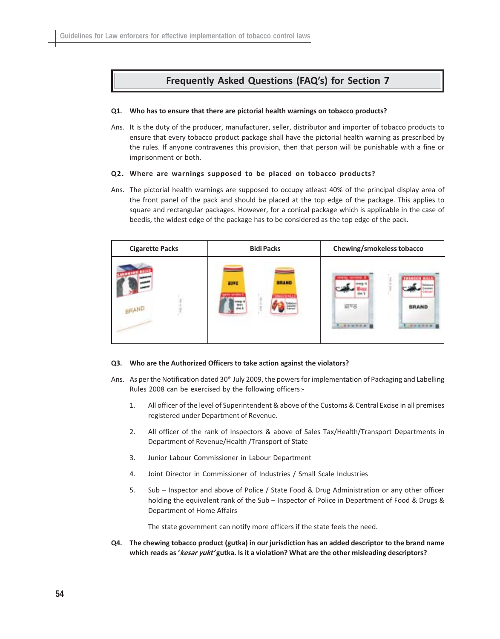## Frequently Asked Questions (FAQ's) for Section 7

#### Q1. Who has to ensure that there are pictorial health warnings on tobacco products?

Ans. It is the duty of the producer, manufacturer, seller, distributor and importer of tobacco products to ensure that every tobacco product package shall have the pictorial health warning as prescribed by the rules. If anyone contravenes this provision, then that person will be punishable with a fine or imprisonment or both.

#### Q2. Where are warnings supposed to be placed on tobacco products?

Ans. The pictorial health warnings are supposed to occupy atleast 40% of the principal display area of the front panel of the pack and should be placed at the top edge of the package. This applies to square and rectangular packages. However, for a conical package which is applicable in the case of beedis, the widest edge of the package has to be considered as the top edge of the pack.

| <b>Cigarette Packs</b> | <b>Bidi Packs</b> | Chewing/smokeless tobacco |  |
|------------------------|-------------------|---------------------------|--|
|                        | 4395              | 副りる<br><b>BRAND</b>       |  |

#### Q3. Who are the Authorized Officers to take action against the violators?

- Ans. As per the Notification dated 30<sup>th</sup> July 2009, the powers for implementation of Packaging and Labelling Rules 2008 can be exercised by the following officers:-
	- 1. All officer of the level of Superintendent & above of the Customs & Central Excise in all premises registered under Department of Revenue.
	- 2. All officer of the rank of Inspectors & above of Sales Tax/Health/Transport Departments in Department of Revenue/Health /Transport of State
	- 3. Junior Labour Commissioner in Labour Department
	- 4. Joint Director in Commissioner of Industries / Small Scale Industries
	- 5. Sub Inspector and above of Police / State Food & Drug Administration or any other officer holding the equivalent rank of the Sub – Inspector of Police in Department of Food & Drugs & Department of Home Affairs

The state government can notify more officers if the state feels the need.

Q4. The chewing tobacco product (gutka) in our jurisdiction has an added descriptor to the brand name which reads as 'kesar yukt' gutka. Is it a violation? What are the other misleading descriptors?